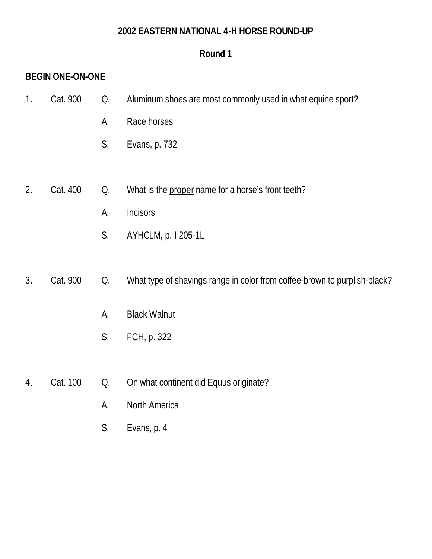#### **2002 EASTERN NATIONAL 4-H HORSE ROUND-UP**

# **Round 1**

# **BEGIN ONE-ON-ONE**

- 1. Cat. 900 Q. Aluminum shoes are most commonly used in what equine sport?
	- A. Race horses
	- S. Evans, p. 732
- 2. Cat. 400 Q. What is the proper name for a horse's front teeth?
	- A. Incisors
	- S. AYHCLM, p. I 205-1L

# 3. Cat. 900 Q. What type of shavings range in color from coffee-brown to purplish-black?

- A. Black Walnut
- S. FCH, p. 322
- 4. Cat. 100 Q. On what continent did Equus originate?
	- A. North America
	- S. Evans, p. 4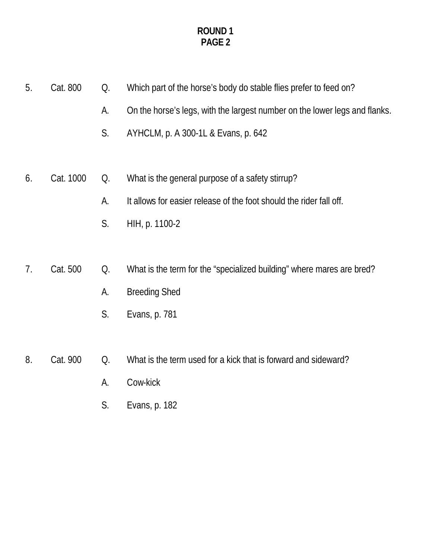- 5. Cat. 800 Q. Which part of the horse's body do stable flies prefer to feed on?
	- A. On the horse's legs, with the largest number on the lower legs and flanks.
	- S. AYHCLM, p. A 300-1L & Evans, p. 642
- 6. Cat. 1000 Q. What is the general purpose of a safety stirrup?
	- A. It allows for easier release of the foot should the rider fall off.
	- S. HIH, p. 1100-2
- 7. Cat. 500 Q. What is the term for the "specialized building" where mares are bred?
	- A. Breeding Shed
	- S. Evans, p. 781
- 8. Cat. 900 Q. What is the term used for a kick that is forward and sideward?
	- A. Cow-kick
	- S. Evans, p. 182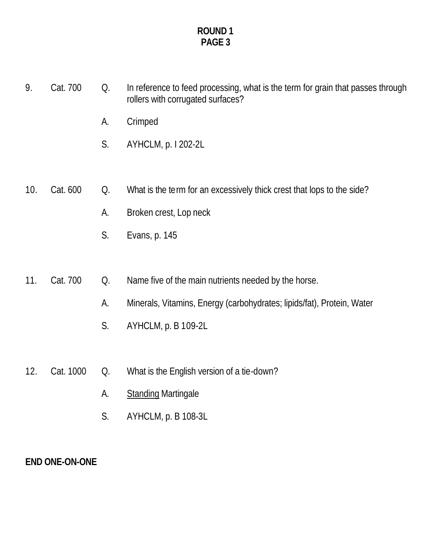- 9. Cat. 700 Q. In reference to feed processing, what is the term for grain that passes through rollers with corrugated surfaces?
	- A. Crimped
	- S. AYHCLM, p. I 202-2L
- 10. Cat. 600 Q. What is the term for an excessively thick crest that lops to the side?
	- A. Broken crest, Lop neck
	- S. Evans, p. 145
- 11. Cat. 700 Q. Name five of the main nutrients needed by the horse.
	- A. Minerals, Vitamins, Energy (carbohydrates; lipids/fat), Protein, Water
	- S. AYHCLM, p. B 109-2L
- 12. Cat. 1000 Q. What is the English version of a tie-down?
	- A. Standing Martingale
	- S. AYHCLM, p. B 108-3L

#### **END ONE-ON-ONE**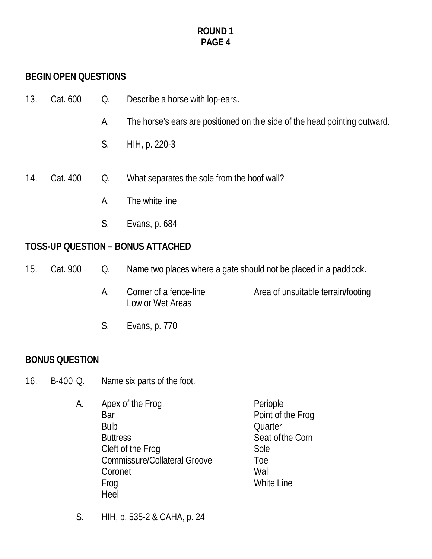# **BEGIN OPEN QUESTIONS**

| 13. | Cat. 600 | Q. | Describe a horse with lop-ears.                                           |
|-----|----------|----|---------------------------------------------------------------------------|
|     |          | A. | The horse's ears are positioned on the side of the head pointing outward. |
|     |          | S. | HIH, p. 220-3                                                             |
| 14. | Cat. 400 | Q. | What separates the sole from the hoof wall?                               |
|     |          | А. | The white line                                                            |
|     |          | S. | Evans, p. 684                                                             |

## **TOSS-UP QUESTION – BONUS ATTACHED**

- 15. Cat. 900 Q. Name two places where a gate should not be placed in a paddock.
	- A. Corner of a fence-line Area of unsuitable terrain/footing Low or Wet Areas
	- S. Evans, p. 770

# **BONUS QUESTION**

- 16. B-400 Q. Name six parts of the foot.
	- A. Apex of the Frog Periople Bar Point of the Frog Bulb Quarter Buttress Seat of the Corn Cleft of the Frog Sole Commissure/Collateral Groove Toe Coronet Wall Frog White Line Heel
	- S. HIH, p. 535-2 & CAHA, p. 24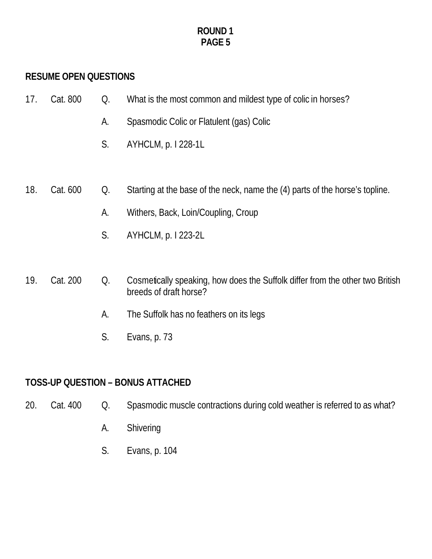# **RESUME OPEN QUESTIONS**

| 17. Cat. 800 | What is the most common and mildest type of colic in horses? |
|--------------|--------------------------------------------------------------|
|              |                                                              |

- A. Spasmodic Colic or Flatulent (gas) Colic
- S. AYHCLM, p. I 228-1L
- 18. Cat. 600 Q. Starting at the base of the neck, name the (4) parts of the horse's topline.
	- A. Withers, Back, Loin/Coupling, Croup
	- S. AYHCLM, p. I 223-2L

#### 19. Cat. 200 Q. Cosmetically speaking, how does the Suffolk differ from the other two British breeds of draft horse?

- A. The Suffolk has no feathers on its legs
- S. Evans, p. 73

#### **TOSS-UP QUESTION – BONUS ATTACHED**

- 20. Cat. 400 Q. Spasmodic muscle contractions during cold weather is referred to as what?
	- A. Shivering
	- S. Evans, p. 104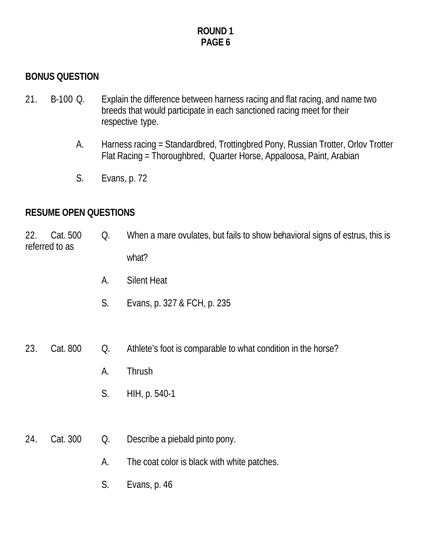## **BONUS QUESTION**

- 21. B-100 Q. Explain the difference between harness racing and flat racing, and name two breeds that would participate in each sanctioned racing meet for their respective type.
	- A. Harness racing = Standardbred, Trottingbred Pony, Russian Trotter, Orlov Trotter Flat Racing = Thoroughbred, Quarter Horse, Appaloosa, Paint, Arabian
	- S. Evans, p. 72

#### **RESUME OPEN QUESTIONS**

22. Cat. 500 Q. When a mare ovulates, but fails to show behavioral signs of estrus, this is referred to as what?

- A. Silent Heat
- S. Evans, p. 327 & FCH, p. 235

23. Cat. 800 Q. Athlete's foot is comparable to what condition in the horse?

- A. Thrush
- S. HIH, p. 540-1
- 24. Cat. 300 Q. Describe a piebald pinto pony.
	- A. The coat color is black with white patches.
	- S. Evans, p. 46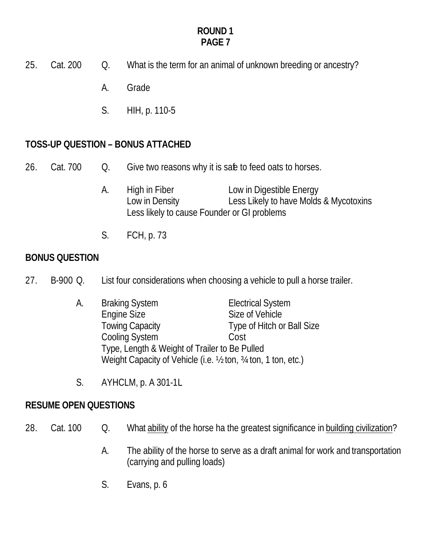- 25. Cat. 200 Q. What is the term for an animal of unknown breeding or ancestry?
	- A. Grade
	- S. HIH, p. 110-5

# **TOSS-UP QUESTION – BONUS ATTACHED**

- 26. Cat. 700 Q. Give two reasons why it is safe to feed oats to horses.
	- A. High in Fiber Low in Digestible Energy Low in Density Less Likely to have Molds & Mycotoxins Less likely to cause Founder or GI problems
	- S. FCH, p. 73

## **BONUS QUESTION**

- 27. B-900 Q. List four considerations when choosing a vehicle to pull a horse trailer.
	- A. Braking System Electrical System Engine Size Size Size of Vehicle Towing Capacity Type of Hitch or Ball Size Cooling System Cost Type, Length & Weight of Trailer to Be Pulled Weight Capacity of Vehicle (i.e. 1/2 ton, 3/4 ton, 1 ton, etc.)
	- S. AYHCLM, p. A 301-1L

# **RESUME OPEN QUESTIONS**

- 28. Cat. 100 Q. What ability of the horse ha the greatest significance in building civilization?
	- A. The ability of the horse to serve as a draft animal for work and transportation (carrying and pulling loads)
	- S. Evans, p. 6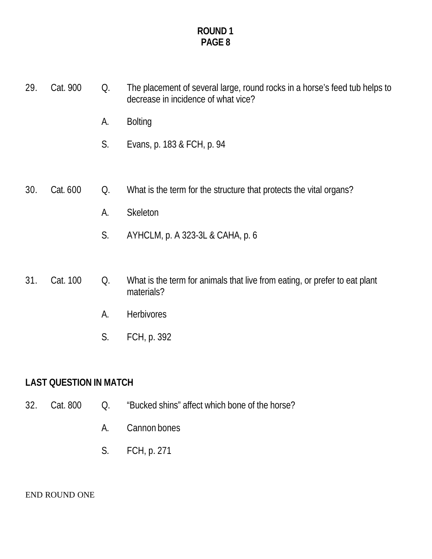- 29. Cat. 900 Q. The placement of several large, round rocks in a horse's feed tub helps to decrease in incidence of what vice?
	- A. Bolting
	- S. Evans, p. 183 & FCH, p. 94
- 30. Cat. 600 Q. What is the term for the structure that protects the vital organs?
	- A. Skeleton
	- S. AYHCLM, p. A 323-3L & CAHA, p. 6
- 31. Cat. 100 Q. What is the term for animals that live from eating, or prefer to eat plant materials?
	- A. Herbivores
	- S. FCH, p. 392

## **LAST QUESTION IN MATCH**

- 32. Cat. 800 Q. "Bucked shins" affect which bone of the horse?
	- A. Cannon bones
	- S. FCH, p. 271

#### END ROUND ONE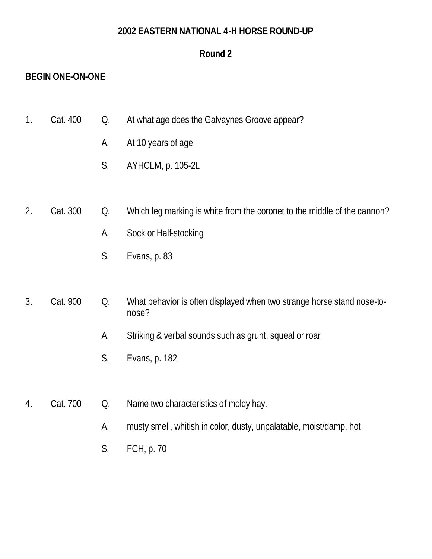#### **2002 EASTERN NATIONAL 4-H HORSE ROUND-UP**

### **Round 2**

# **BEGIN ONE-ON-ONE**

- 1. Cat. 400 Q. At what age does the Galvaynes Groove appear?
	- A. At 10 years of age
	- S. AYHCLM, p. 105-2L
- 2. Cat. 300 Q. Which leg marking is white from the coronet to the middle of the cannon?
	- A. Sock or Half-stocking
	- S. Evans, p. 83
- 3. Cat. 900 Q. What behavior is often displayed when two strange horse stand nose-tonose?
	- A. Striking & verbal sounds such as grunt, squeal or roar
	- S. Evans, p. 182
- 4. Cat. 700 Q. Name two characteristics of moldy hay.
	- A. musty smell, whitish in color, dusty, unpalatable, moist/damp, hot
	- S. FCH, p. 70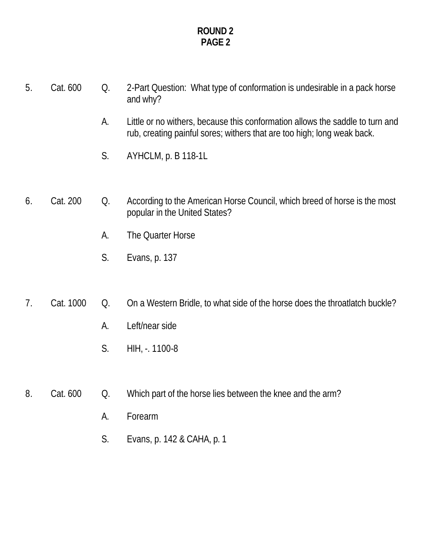- 5. Cat. 600 Q. 2-Part Question: What type of conformation is undesirable in a pack horse and why?
	- A. Little or no withers, because this conformation allows the saddle to turn and rub, creating painful sores; withers that are too high; long weak back.
	- S. AYHCLM, p. B 118-1L
- 6. Cat. 200 Q. According to the American Horse Council, which breed of horse is the most popular in the United States?
	- A. The Quarter Horse
	- S. Evans, p. 137
- 7. Cat. 1000 Q. On a Western Bridle, to what side of the horse does the throatlatch buckle?
	- A. Left/near side
	- S. HIH, -. 1100-8
- 8. Cat. 600 Q. Which part of the horse lies between the knee and the arm?
	- A. Forearm
	- S. Evans, p. 142 & CAHA, p. 1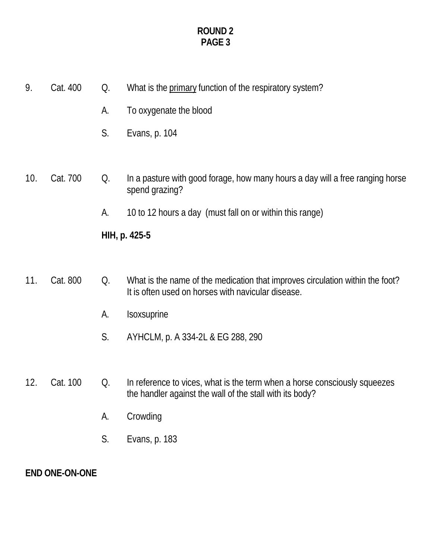| 9.  | Cat. 400 | Q. | What is the primary function of the respiratory system?                                                                               |
|-----|----------|----|---------------------------------------------------------------------------------------------------------------------------------------|
|     |          | A. | To oxygenate the blood                                                                                                                |
|     |          | S. | Evans, p. 104                                                                                                                         |
|     |          |    |                                                                                                                                       |
| 10. | Cat. 700 | Q. | In a pasture with good forage, how many hours a day will a free ranging horse<br>spend grazing?                                       |
|     |          | A. | 10 to 12 hours a day (must fall on or within this range)                                                                              |
|     |          |    | HIH, p. 425-5                                                                                                                         |
|     |          |    |                                                                                                                                       |
| 11. | Cat. 800 | Q. | What is the name of the medication that improves circulation within the foot?<br>It is often used on horses with navicular disease.   |
|     |          | A. | Isoxsuprine                                                                                                                           |
|     |          | S. | AYHCLM, p. A 334-2L & EG 288, 290                                                                                                     |
|     |          |    |                                                                                                                                       |
| 12. | Cat. 100 | Q. | In reference to vices, what is the term when a horse consciously squeezes<br>the handler against the wall of the stall with its body? |
|     |          | А. | Crowding                                                                                                                              |
|     |          | S. | Evans, p. 183                                                                                                                         |
|     |          |    |                                                                                                                                       |

**END ONE-ON-ONE**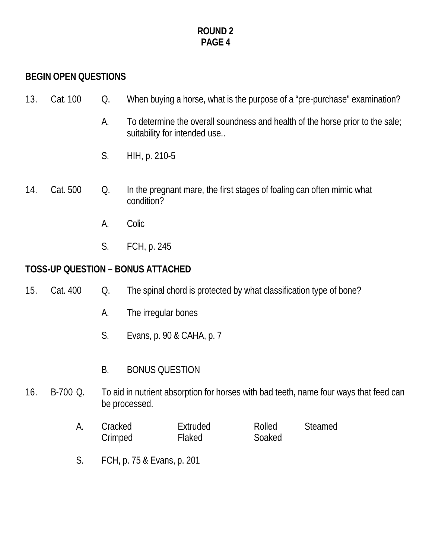# **BEGIN OPEN QUESTIONS**

| 13. | Cat. 100 | Q.        | When buying a horse, what is the purpose of a "pre-purchase" examination?                                     |
|-----|----------|-----------|---------------------------------------------------------------------------------------------------------------|
|     |          | А.        | To determine the overall soundness and health of the horse prior to the sale;<br>suitability for intended use |
|     |          | S.        | HIH, p. 210-5                                                                                                 |
| 14. | Cat. 500 | Q.        | In the pregnant mare, the first stages of foaling can often mimic what<br>condition?                          |
|     |          | А.        | Colic                                                                                                         |
|     |          | S.        | FCH, p. 245                                                                                                   |
|     |          |           | <b>TOSS-UP QUESTION - BONUS ATTACHED</b>                                                                      |
| 15. | Cat. 400 | Q.        | The spinal chord is protected by what classification type of bone?                                            |
|     |          | А.        | The irregular bones                                                                                           |
|     |          | S.        | Evans, p. 90 & CAHA, p. 7                                                                                     |
|     |          | <b>B.</b> | <b>BONUS QUESTION</b>                                                                                         |

- 16. B-700 Q. To aid in nutrient absorption for horses with bad teeth, name four ways that feed can be processed.
	- A. Cracked Extruded Rolled Steamed<br>Crimped Flaked Soaked Crimped
	- S. FCH, p. 75 & Evans, p. 201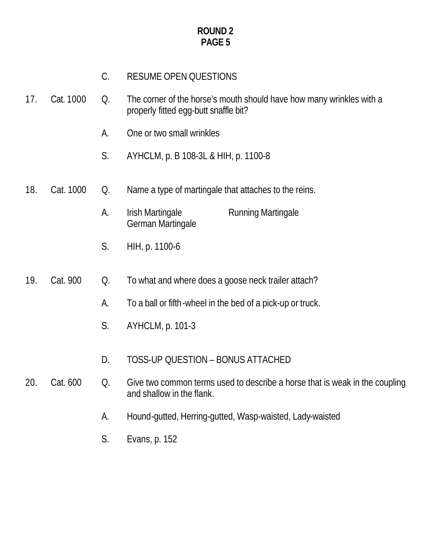# C. RESUME OPEN QUESTIONS

- 17. Cat. 1000 Q. The corner of the horse's mouth should have how many wrinkles with a properly fitted egg-butt snaffle bit?
	- A. One or two small wrinkles
	- S. AYHCLM, p. B 108-3L & HIH, p. 1100-8
- 18. Cat. 1000 Q. Name a type of martingale that attaches to the reins.
	- A. Irish Martingale **Running Martingale** German Martingale
	- S. HIH, p. 1100-6
- 19. Cat. 900 Q. To what and where does a goose neck trailer attach?
	- A. To a ball or fifth-wheel in the bed of a pick-up or truck.
	- S. AYHCLM, p. 101-3
	- D. TOSS-UP QUESTION BONUS ATTACHED

#### 20. Cat. 600 Q. Give two common terms used to describe a horse that is weak in the coupling and shallow in the flank.

- A. Hound-gutted, Herring-gutted, Wasp-waisted, Lady-waisted
- S. Evans, p. 152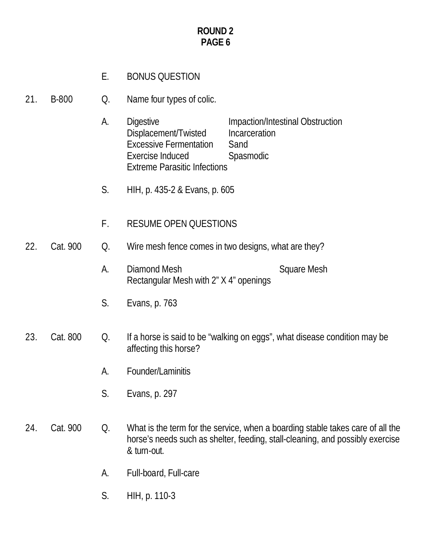# E. BONUS QUESTION

21. B-800 Q. Name four types of colic.

- A. Digestive Impaction/Intestinal Obstruction Displacement/Twisted Incarceration Excessive Fermentation Sand Exercise Induced Spasmodic Extreme Parasitic Infections
- S. HIH, p. 435-2 & Evans, p. 605
- F. RESUME OPEN QUESTIONS
- 22. Cat. 900 Q. Wire mesh fence comes in two designs, what are they?
	- A. Diamond Mesh Square Mesh Rectangular Mesh with 2" X 4" openings
	- S. Evans, p. 763

#### 23. Cat. 800 Q. If a horse is said to be "walking on eggs", what disease condition may be affecting this horse?

- A. Founder/Laminitis
- S. Evans, p. 297
- 24. Cat. 900 Q. What is the term for the service, when a boarding stable takes care of all the horse's needs such as shelter, feeding, stall-cleaning, and possibly exercise & turn-out.
	- A. Full-board, Full-care
	- S. HIH, p. 110-3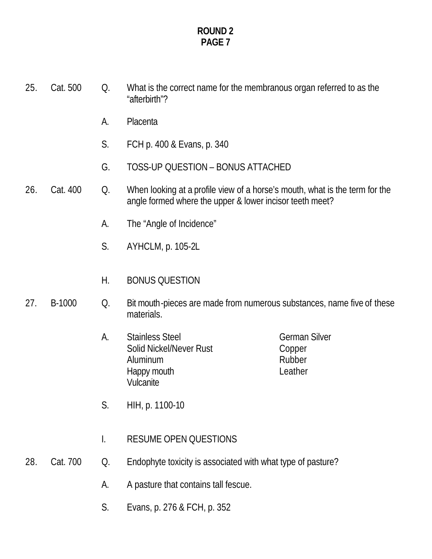| 25. | Cat. 500 | Q. | What is the correct name for the membranous organ referred to as the<br>"afterbirth"?                                                   |                                                     |
|-----|----------|----|-----------------------------------------------------------------------------------------------------------------------------------------|-----------------------------------------------------|
|     |          | А. | Placenta                                                                                                                                |                                                     |
|     |          | S. | FCH p. 400 & Evans, p. 340                                                                                                              |                                                     |
|     |          | G. | TOSS-UP QUESTION - BONUS ATTACHED                                                                                                       |                                                     |
| 26. | Cat. 400 | Q. | When looking at a profile view of a horse's mouth, what is the term for the<br>angle formed where the upper & lower incisor teeth meet? |                                                     |
|     |          | А. | The "Angle of Incidence"                                                                                                                |                                                     |
|     |          | S. | AYHCLM, p. 105-2L                                                                                                                       |                                                     |
|     |          | Н. | <b>BONUS QUESTION</b>                                                                                                                   |                                                     |
| 27. | B-1000   | Q. | Bit mouth-pieces are made from numerous substances, name five of these<br>materials.                                                    |                                                     |
|     |          | А. | <b>Stainless Steel</b><br>Solid Nickel/Never Rust<br>Aluminum<br>Happy mouth<br>Vulcanite                                               | <b>German Silver</b><br>Copper<br>Rubber<br>Leather |
|     |          | S. | HIH, p. 1100-10                                                                                                                         |                                                     |
|     |          | I. | <b>RESUME OPEN QUESTIONS</b>                                                                                                            |                                                     |
| 28. | Cat. 700 | Q. | Endophyte toxicity is associated with what type of pasture?                                                                             |                                                     |
|     |          | A. | A pasture that contains tall fescue.                                                                                                    |                                                     |
|     |          | S. | Evans, p. 276 & FCH, p. 352                                                                                                             |                                                     |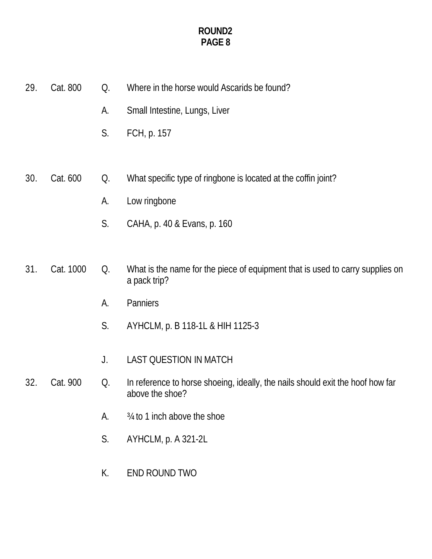29. Cat. 800 Q. Where in the horse would Ascarids be found? A. Small Intestine, Lungs, Liver S. FCH, p. 157 30. Cat. 600 Q. What specific type of ringbone is located at the coffin joint? A. Low ringbone S. CAHA, p. 40 & Evans, p. 160 31. Cat. 1000 Q. What is the name for the piece of equipment that is used to carry supplies on a pack trip? A. Panniers S. AYHCLM, p. B 118-1L & HIH 1125-3 J. LAST QUESTION IN MATCH 32. Cat. 900 Q. In reference to horse shoeing, ideally, the nails should exit the hoof how far above the shoe? A. ¾ to 1 inch above the shoe S. AYHCLM, p. A 321-2L K. END ROUND TWO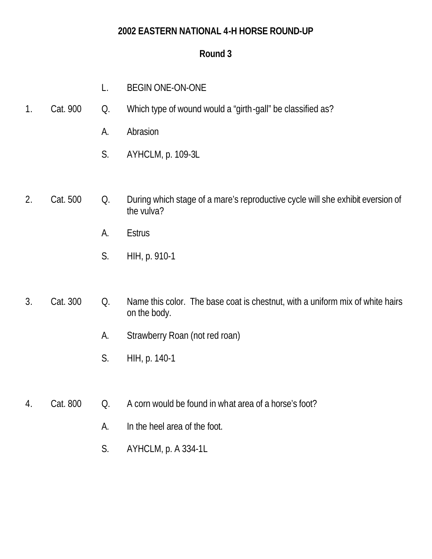### **2002 EASTERN NATIONAL 4-H HORSE ROUND-UP**

# **Round 3**

- L. BEGIN ONE-ON-ONE
- 1. Cat. 900 Q. Which type of wound would a "girth-gall" be classified as?
	- A. Abrasion
	- S. AYHCLM, p. 109-3L
- 2. Cat. 500 Q. During which stage of a mare's reproductive cycle will she exhibit eversion of the vulva?
	- A. Estrus
	- S. HIH, p. 910-1

# 3. Cat. 300 Q. Name this color. The base coat is chestnut, with a uniform mix of white hairs on the body.

- A. Strawberry Roan (not red roan)
- S. HIH, p. 140-1
- 4. Cat. 800 Q. A corn would be found in what area of a horse's foot?
	- A. In the heel area of the foot.
	- S. AYHCLM, p. A 334-1L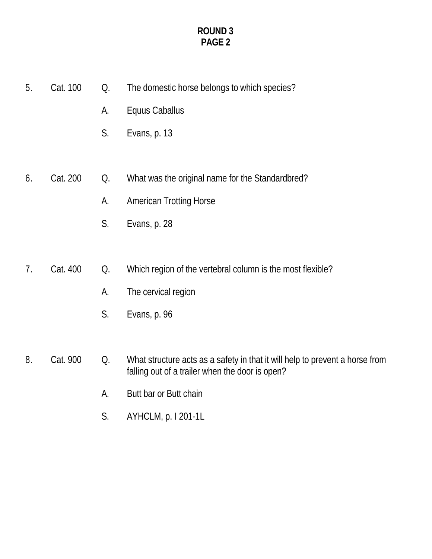| 5. | Cat. 100 | Q. | The domestic horse belongs to which species?               |
|----|----------|----|------------------------------------------------------------|
|    |          | A. | Equus Caballus                                             |
|    |          | S. | Evans, p. 13                                               |
|    |          |    |                                                            |
| 6. | Cat. 200 | Q. | What was the original name for the Standardbred?           |
|    |          | A. | <b>American Trotting Horse</b>                             |
|    |          | S. | Evans, p. 28                                               |
|    |          |    |                                                            |
| 7. | Cat. 400 | Q. | Which region of the vertebral column is the most flexible? |
|    |          | A. | The cervical region                                        |
|    |          | S. | Evans, p. 96                                               |
|    |          |    |                                                            |

8. Cat. 900 Q. What structure acts as a safety in that it will help to prevent a horse from falling out of a trailer when the door is open?

- A. Butt bar or Butt chain
- S. AYHCLM, p. I 201-1L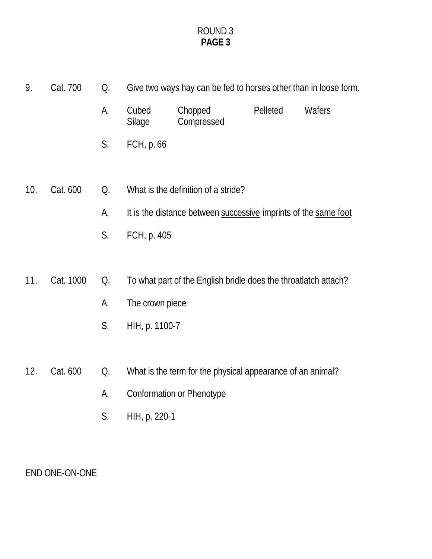- 9. Cat. 700 Q. Give two ways hay can be fed to horses other than in loose form.
	- A. Cubed Chopped Pelleted Wafers Silage Compressed
	- S. FCH, p. 66
- 10. Cat. 600 Q. What is the definition of a stride?
	- A. It is the distance between successive imprints of the same foot
	- S. FCH, p. 405
- 11. Cat. 1000 Q. To what part of the English bridle does the throatlatch attach?
	- A. The crown piece
	- S. HIH, p. 1100-7

# 12. Cat. 600 Q. What is the term for the physical appearance of an animal?

- A. Conformation or Phenotype
- S. HIH, p. 220-1

# END ONE-ON-ONE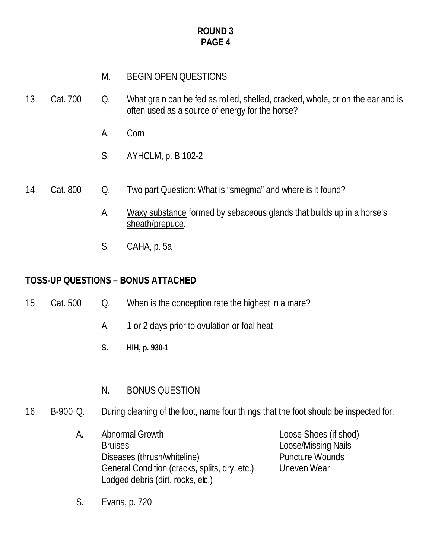# M. BEGIN OPEN QUESTIONS

- 13. Cat. 700 Q. What grain can be fed as rolled, shelled, cracked, whole, or on the ear and is often used as a source of energy for the horse?
	- A. Corn
	- S. AYHCLM, p. B 102-2
- 14. Cat. 800 Q. Two part Question: What is "smegma" and where is it found?
	- A. Waxy substance formed by sebaceous glands that builds up in a horse's sheath/prepuce.
	- S. CAHA, p. 5a

# **TOSS-UP QUESTIONS – BONUS ATTACHED**

- 15. Cat. 500 Q. When is the conception rate the highest in a mare?
	- A. 1 or 2 days prior to ovulation or foal heat
	- **S. HIH, p. 930-1**
	- N. BONUS QUESTION
- 16. B-900 Q. During cleaning of the foot, name four things that the foot should be inspected for.
	- A. Abnormal Growth Loose Shoes (if shod) Bruises Loose/Missing Nails Diseases (thrush/whiteline) Puncture Wounds General Condition (cracks, splits, dry, etc.) Uneven Wear Lodged debris (dirt, rocks, etc.)

S. Evans, p. 720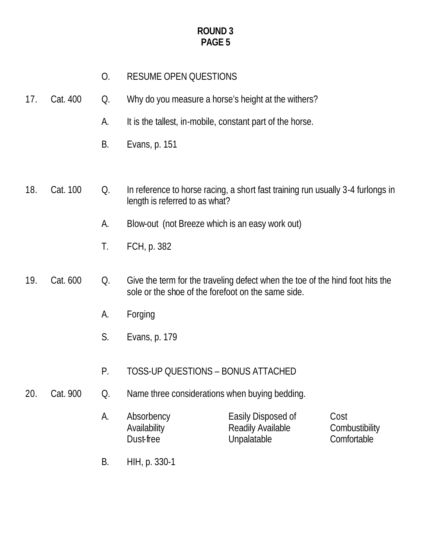- O. RESUME OPEN QUESTIONS
- 17. Cat. 400 Q. Why do you measure a horse's height at the withers?
	- A. It is the tallest, in-mobile, constant part of the horse.
	- B. Evans, p. 151
- 18. Cat. 100 Q. In reference to horse racing, a short fast training run usually 3-4 furlongs in length is referred to as what?
	- A. Blow-out (not Breeze which is an easy work out)
	- T. FCH, p. 382
- 19. Cat. 600 Q. Give the term for the traveling defect when the toe of the hind foot hits the sole or the shoe of the forefoot on the same side.
	- A. Forging
	- S. Evans, p. 179
	- P. TOSS-UP QUESTIONS BONUS ATTACHED
- 20. Cat. 900 Q. Name three considerations when buying bedding.
	- A. Absorbency **Easily Disposed of Cost**<br>Availability **Readily Available** Combustibility Availability Readily Available Dust-free Unpalatable Comfortable
	- B. HIH, p. 330-1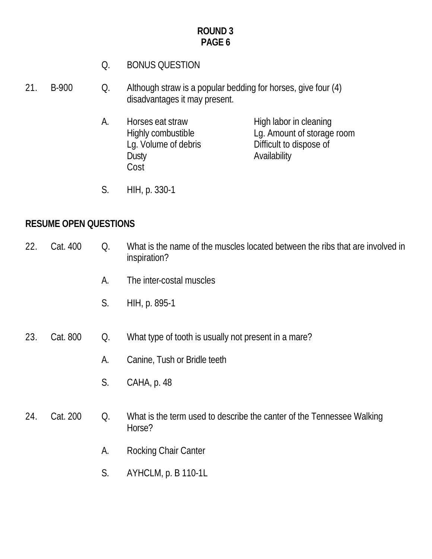- Q. BONUS QUESTION
- 21. B-900 Q. Although straw is a popular bedding for horses, give four (4) disadvantages it may present.
	- A. Horses eat straw High labor in cleaning Highly combustible Lg. Amount of storage room<br>Lg. Volume of debris Difficult to dispose of Difficult to dispose of Dusty **Dusty** Availability Cost
	- S. HIH, p. 330-1

# **RESUME OPEN QUESTIONS**

| 22. | Cat. 400 | Q. | What is the name of the muscles located between the ribs that are involved in<br>inspiration? |
|-----|----------|----|-----------------------------------------------------------------------------------------------|
|     |          | А. | The inter-costal muscles                                                                      |
|     |          | S. | HIH, p. 895-1                                                                                 |
| 23. | Cat. 800 | Q. | What type of tooth is usually not present in a mare?                                          |
|     |          | A. | Canine, Tush or Bridle teeth                                                                  |
|     |          | S. | CAHA, p. 48                                                                                   |
| 24. | Cat. 200 | Q. | What is the term used to describe the canter of the Tennessee Walking<br>Horse?               |
|     |          | A. | Rocking Chair Canter                                                                          |
|     |          | S. | AYHCLM, p. B 110-1L                                                                           |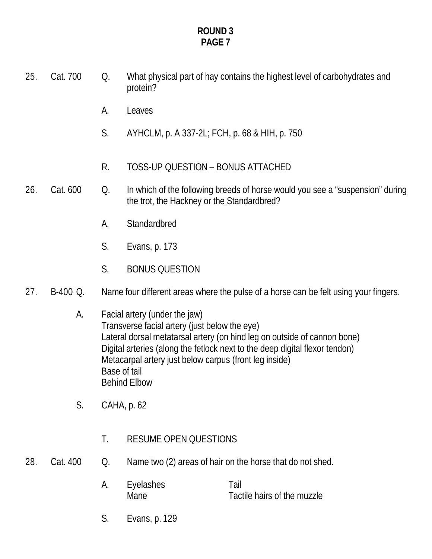- 25. Cat. 700 Q. What physical part of hay contains the highest level of carbohydrates and protein?
	- A. Leaves
	- S. AYHCLM, p. A 337-2L; FCH, p. 68 & HIH, p. 750
	- R. TOSS-UP QUESTION BONUS ATTACHED
- 26. Cat. 600 Q. In which of the following breeds of horse would you see a "suspension" during the trot, the Hackney or the Standardbred?
	- A. Standardbred
	- S. Evans, p. 173
	- S. BONUS QUESTION
- 27. B-400 Q. Name four different areas where the pulse of a horse can be felt using your fingers.
	- A. Facial artery (under the jaw) Transverse facial artery (just below the eye) Lateral dorsal metatarsal artery (on hind leg on outside of cannon bone) Digital arteries (along the fetlock next to the deep digital flexor tendon) Metacarpal artery just below carpus (front leg inside) Base of tail Behind Elbow
	- S. CAHA, p. 62
		- T. RESUME OPEN QUESTIONS
- 28. Cat. 400 Q. Name two (2) areas of hair on the horse that do not shed.
	- A. Eyelashes Tail Mane Tactile hairs of the muzzle
	- S. Evans, p. 129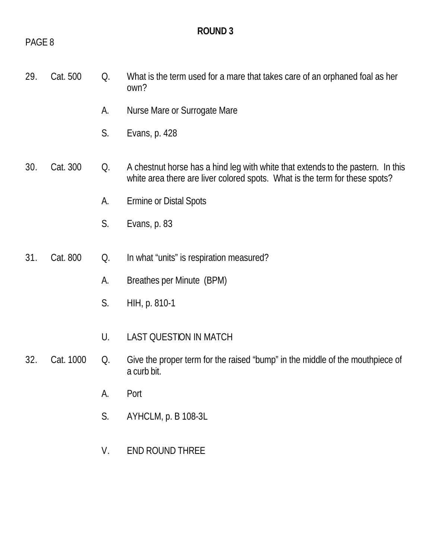# PAGE 8

# **ROUND 3**

| 29. | Cat. 500  | Q. | What is the term used for a mare that takes care of an orphaned foal as her<br>own?                                                                            |
|-----|-----------|----|----------------------------------------------------------------------------------------------------------------------------------------------------------------|
|     |           | А. | Nurse Mare or Surrogate Mare                                                                                                                                   |
|     |           | S. | Evans, p. 428                                                                                                                                                  |
| 30. | Cat. 300  | Q. | A chestnut horse has a hind leg with white that extends to the pastern. In this<br>white area there are liver colored spots. What is the term for these spots? |
|     |           | А. | Ermine or Distal Spots                                                                                                                                         |
|     |           | S. | Evans, p. 83                                                                                                                                                   |
|     |           |    |                                                                                                                                                                |
| 31. | Cat. 800  | Q. | In what "units" is respiration measured?                                                                                                                       |
|     |           | А. | Breathes per Minute (BPM)                                                                                                                                      |
|     |           | S. | HIH, p. 810-1                                                                                                                                                  |
|     |           | U. | <b>LAST QUESTION IN MATCH</b>                                                                                                                                  |
| 32. | Cat. 1000 | Q. | Give the proper term for the raised "bump" in the middle of the mouthpiece of<br>a curb bit.                                                                   |
|     |           | A. | Port                                                                                                                                                           |
|     |           | S. | AYHCLM, p. B 108-3L                                                                                                                                            |
|     |           | V. | <b>END ROUND THREE</b>                                                                                                                                         |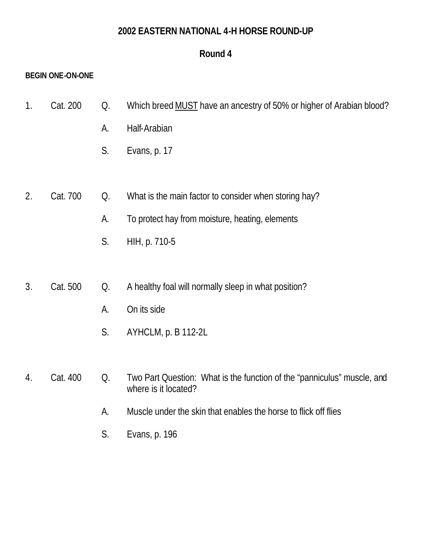#### **2002 EASTERN NATIONAL 4-H HORSE ROUND-UP**

# **Round 4**

#### **BEGIN ONE-ON-ONE**

- 1. Cat. 200 Q. Which breed MUST have an ancestry of 50% or higher of Arabian blood?
	- A. Half-Arabian
	- S. Evans, p. 17
- 2. Cat. 700 Q. What is the main factor to consider when storing hay?
	- A. To protect hay from moisture, heating, elements
	- S. HIH, p. 710-5
- 3. Cat. 500 Q. A healthy foal will normally sleep in what position?
	- A. On its side
	- S. AYHCLM, p. B 112-2L
- 4. Cat. 400 Q. Two Part Question: What is the function of the "panniculus" muscle, and where is it located?
	- A. Muscle under the skin that enables the horse to flick off flies
	- S. Evans, p. 196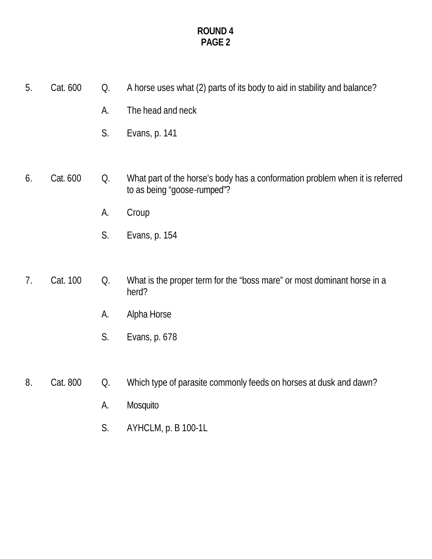- 5. Cat. 600 Q. A horse uses what (2) parts of its body to aid in stability and balance? A. The head and neck S. Evans, p. 141 6. Cat. 600 Q. What part of the horse's body has a conformation problem when it is referred to as being "goose-rumped"? A. Croup S. Evans, p. 154 7. Cat. 100 Q. What is the proper term for the "boss mare" or most dominant horse in a herd? A. Alpha Horse S. Evans, p. 678
- 8. Cat. 800 Q. Which type of parasite commonly feeds on horses at dusk and dawn?
	- A. Mosquito
	- S. AYHCLM, p. B 100-1L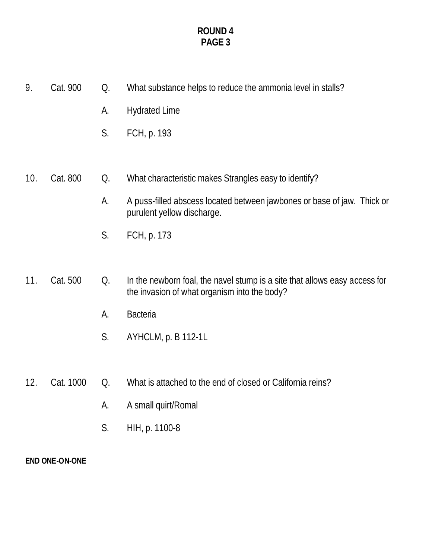| 9.                    | Cat. 900  | Q. | What substance helps to reduce the ammonia level in stalls?                                                                |
|-----------------------|-----------|----|----------------------------------------------------------------------------------------------------------------------------|
|                       |           | A. | <b>Hydrated Lime</b>                                                                                                       |
|                       |           | S. | FCH, p. 193                                                                                                                |
|                       |           |    |                                                                                                                            |
| 10.                   | Cat. 800  | Q. | What characteristic makes Strangles easy to identify?                                                                      |
|                       |           | A. | A puss-filled abscess located between jawbones or base of jaw. Thick or<br>purulent yellow discharge.                      |
|                       |           | S. | FCH, p. 173                                                                                                                |
|                       |           |    |                                                                                                                            |
| 11.                   | Cat. 500  | Q. | In the newborn foal, the navel stump is a site that allows easy access for<br>the invasion of what organism into the body? |
|                       |           | А. | <b>Bacteria</b>                                                                                                            |
|                       |           | S. | AYHCLM, p. B 112-1L                                                                                                        |
|                       |           |    |                                                                                                                            |
| 12.                   | Cat. 1000 | Q. | What is attached to the end of closed or California reins?                                                                 |
|                       |           | А. | A small quirt/Romal                                                                                                        |
|                       |           | S. | HIH, p. 1100-8                                                                                                             |
| <b>END ONE-ON-ONE</b> |           |    |                                                                                                                            |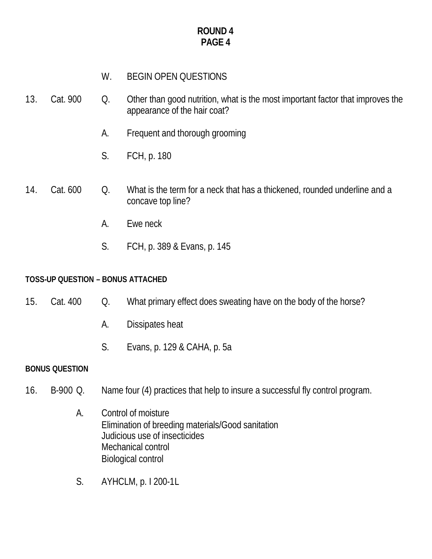# W. BEGIN OPEN QUESTIONS

- 13. Cat. 900 Q. Other than good nutrition, what is the most important factor that improves the appearance of the hair coat?
	- A. Frequent and thorough grooming
	- S. FCH, p. 180
- 14. Cat. 600 Q. What is the term for a neck that has a thickened, rounded underline and a concave top line?
	- A. Ewe neck
	- S. FCH, p. 389 & Evans, p. 145

#### **TOSS-UP QUESTION – BONUS ATTACHED**

- 15. Cat. 400 Q. What primary effect does sweating have on the body of the horse?
	- A. Dissipates heat
	- S. Evans, p. 129 & CAHA, p. 5a

#### **BONUS QUESTION**

- 16. B-900 Q. Name four (4) practices that help to insure a successful fly control program.
	- A. Control of moisture Elimination of breeding materials/Good sanitation Judicious use of insecticides Mechanical control Biological control
	- S. AYHCLM, p. I 200-1L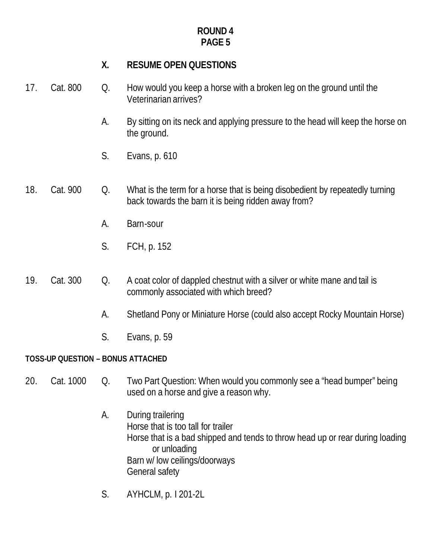# **X. RESUME OPEN QUESTIONS**

- 17. Cat. 800 Q. How would you keep a horse with a broken leg on the ground until the Veterinarian arrives?
	- A. By sitting on its neck and applying pressure to the head will keep the horse on the ground.
	- S. Evans, p. 610
- 18. Cat. 900 Q. What is the term for a horse that is being disobedient by repeatedly turning back towards the barn it is being ridden away from?
	- A. Barn-sour
	- S. FCH, p. 152
- 19. Cat. 300 Q. A coat color of dappled chestnut with a silver or white mane and tail is commonly associated with which breed?
	- A. Shetland Pony or Miniature Horse (could also accept Rocky Mountain Horse)
	- S. Evans, p. 59

#### **TOSS-UP QUESTION – BONUS ATTACHED**

- 20. Cat. 1000 Q. Two Part Question: When would you commonly see a "head bumper" being used on a horse and give a reason why.
	- A. During trailering Horse that is too tall for trailer Horse that is a bad shipped and tends to throw head up or rear during loading or unloading Barn w/ low ceilings/doorways General safety
	- S. AYHCLM, p. I 201-2L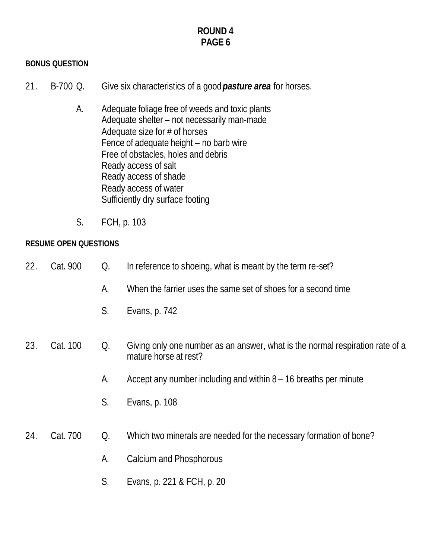#### **BONUS QUESTION**

- 21. B-700 Q. Give six characteristics of a good *pasture area* for horses.
	- A. Adequate foliage free of weeds and toxic plants Adequate shelter – not necessarily man-made Adequate size for # of horses Fence of adequate height – no barb wire Free of obstacles, holes and debris Ready access of salt Ready access of shade Ready access of water Sufficiently dry surface footing
	- S. FCH, p. 103

#### **RESUME OPEN QUESTIONS**

- 22. Cat. 900 Q. In reference to shoeing, what is meant by the term re-set?
	- A. When the farrier uses the same set of shoes for a second time
	- S. Evans, p. 742
- 23. Cat. 100 Q. Giving only one number as an answer, what is the normal respiration rate of a mature horse at rest?
	- A. Accept any number including and within 8 16 breaths per minute
	- S. Evans, p. 108

#### 24. Cat. 700 Q. Which two minerals are needed for the necessary formation of bone?

- A. Calcium and Phosphorous
- S. Evans, p. 221 & FCH, p. 20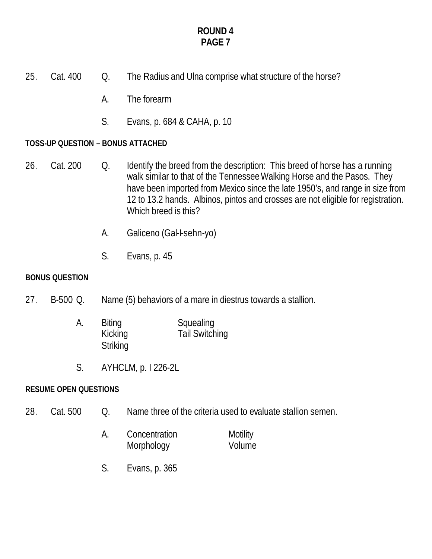- 25. Cat. 400 Q. The Radius and Ulna comprise what structure of the horse?
	- A. The forearm
	- S. Evans, p. 684 & CAHA, p. 10

#### **TOSS-UP QUESTION – BONUS ATTACHED**

- 26. Cat. 200 Q. Identify the breed from the description: This breed of horse has a running walk similar to that of the Tennessee Walking Horse and the Pasos. They have been imported from Mexico since the late 1950's, and range in size from 12 to 13.2 hands. Albinos, pintos and crosses are not eligible for registration. Which breed is this?
	- A. Galiceno (Gal-I-sehn-yo)
	- S. Evans, p. 45

#### **BONUS QUESTION**

- 27. B-500 Q. Name (5) behaviors of a mare in diestrus towards a stallion.
	- A. Biting Squealing Kicking Tail Switching **Striking**
	- S. AYHCLM, p. I 226-2L

#### **RESUME OPEN QUESTIONS**

- 28. Cat. 500 O. Name three of the criteria used to evaluate stallion semen.
	- A. Concentration Motility Morphology **Volume**
	- S. Evans, p. 365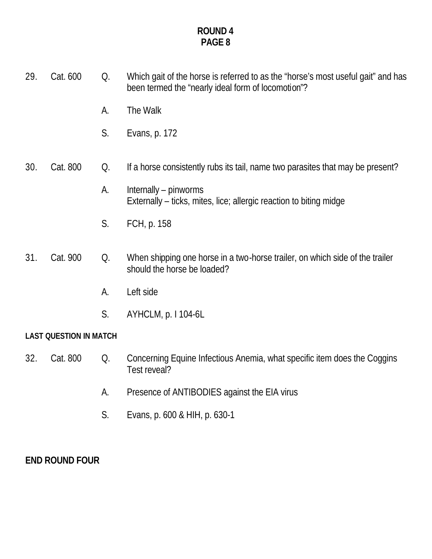- 29. Cat. 600 Q. Which gait of the horse is referred to as the "horse's most useful gait" and has been termed the "nearly ideal form of locomotion"? A. The Walk S. Evans, p. 172 30. Cat. 800 Q. If a horse consistently rubs its tail, name two parasites that may be present? A. Internally – pinworms Externally – ticks, mites, lice; allergic reaction to biting midge S. FCH, p. 158 31. Cat. 900 Q. When shipping one horse in a two-horse trailer, on which side of the trailer should the horse be loaded? A. Left side
	- S. AYHCLM, p. I 104-6L

# **LAST QUESTION IN MATCH**

- 32. Cat. 800 Q. Concerning Equine Infectious Anemia, what specific item does the Coggins Test reveal?
	- A. Presence of ANTIBODIES against the EIA virus
	- S. Evans, p. 600 & HIH, p. 630-1

# **END ROUND FOUR**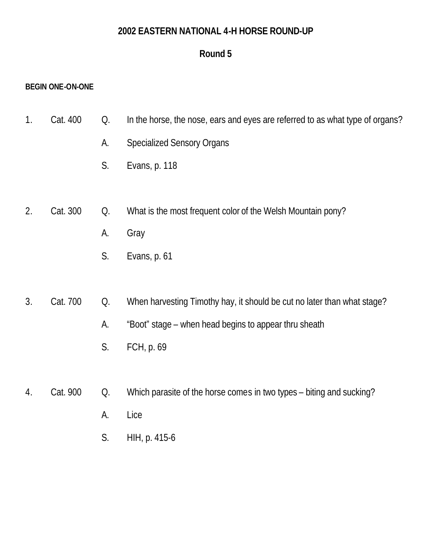#### **2002 EASTERN NATIONAL 4-H HORSE ROUND-UP**

# **Round 5**

#### **BEGIN ONE-ON-ONE**

- 1. Cat. 400 Q. In the horse, the nose, ears and eyes are referred to as what type of organs?
	- A. Specialized Sensory Organs
	- S. Evans, p. 118
- 2. Cat. 300 Q. What is the most frequent color of the Welsh Mountain pony?
	- A. Gray
	- S. Evans, p. 61

# 3. Cat. 700 Q. When harvesting Timothy hay, it should be cut no later than what stage?

- A. "Boot" stage when head begins to appear thru sheath
- S. FCH, p. 69
- 4. Cat. 900 Q. Which parasite of the horse comes in two types biting and sucking?
	- A. Lice
	- S. HIH, p. 415-6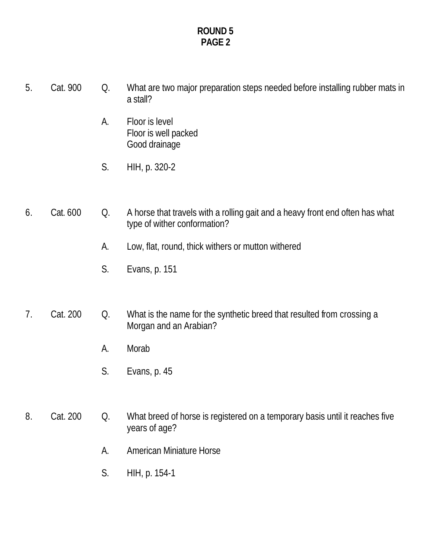- 5. Cat. 900 Q. What are two major preparation steps needed before installing rubber mats in a stall?
	- A. Floor is level Floor is well packed Good drainage
	- S. HIH, p. 320-2

## 6. Cat. 600 Q. A horse that travels with a rolling gait and a heavy front end often has what type of wither conformation?

- A. Low, flat, round, thick withers or mutton withered
- S. Evans, p. 151

# 7. Cat. 200 Q. What is the name for the synthetic breed that resulted from crossing a Morgan and an Arabian?

- A. Morab
- S. Evans, p. 45

# 8. Cat. 200 Q. What breed of horse is registered on a temporary basis until it reaches five years of age?

- A. American Miniature Horse
- S. HIH, p. 154-1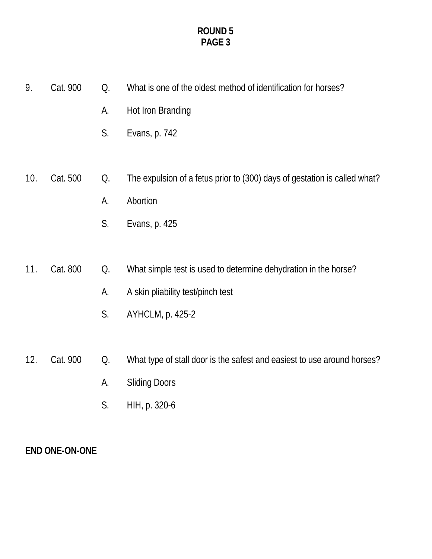| 9.  | Cat. 900 | Q. | What is one of the oldest method of identification for horses?            |
|-----|----------|----|---------------------------------------------------------------------------|
|     |          | А. | Hot Iron Branding                                                         |
|     |          | S. | Evans, p. 742                                                             |
|     |          |    |                                                                           |
| 10. | Cat. 500 | Q. | The expulsion of a fetus prior to (300) days of gestation is called what? |
|     |          | А. | Abortion                                                                  |
|     |          | S. | Evans, p. 425                                                             |
|     |          |    |                                                                           |
| 11. | Cat. 800 | Q. | What simple test is used to determine dehydration in the horse?           |
|     |          | A. | A skin pliability test/pinch test                                         |
|     |          | S. | AYHCLM, p. 425-2                                                          |
|     |          |    |                                                                           |
| 12. | Cat. 900 | Q. | What type of stall door is the safest and easiest to use around horses?   |

- - A. Sliding Doors
	- S. HIH, p. 320-6

# **END ONE-ON-ONE**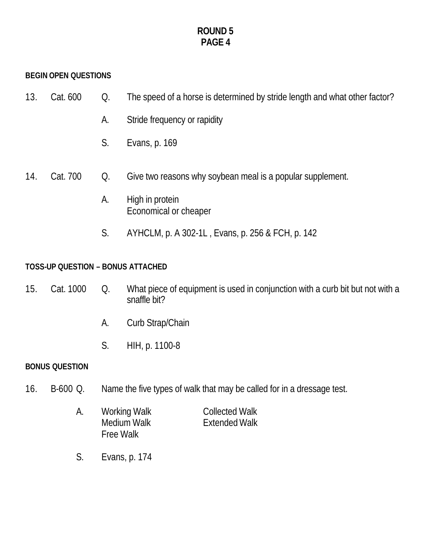#### **BEGIN OPEN QUESTIONS**

- 13. Cat. 600 Q. The speed of a horse is determined by stride length and what other factor?
	- A. Stride frequency or rapidity
	- S. Evans, p. 169
- 14. Cat. 700 Q. Give two reasons why soybean meal is a popular supplement.
	- A. High in protein Economical or cheaper
	- S. AYHCLM, p. A 302-1L , Evans, p. 256 & FCH, p. 142

#### **TOSS-UP QUESTION – BONUS ATTACHED**

- 15. Cat. 1000 Q. What piece of equipment is used in conjunction with a curb bit but not with a snaffle bit?
	- A. Curb Strap/Chain
	- S. HIH, p. 1100-8

#### **BONUS QUESTION**

16. B-600 Q. Name the five types of walk that may be called for in a dressage test.

|  | Working Walk     | <b>Collected Walk</b> |  |  |
|--|------------------|-----------------------|--|--|
|  | Medium Walk      | <b>Extended Walk</b>  |  |  |
|  | <b>Free Walk</b> |                       |  |  |

S. Evans, p. 174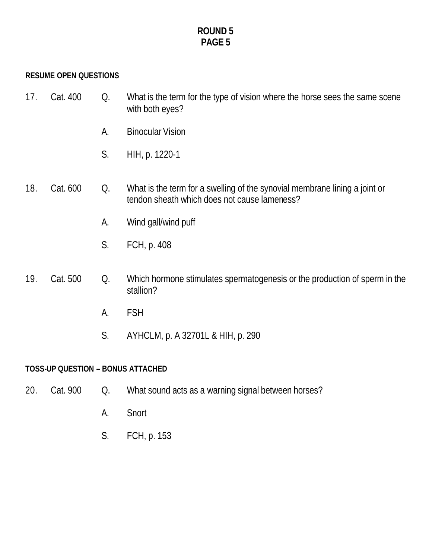#### **RESUME OPEN QUESTIONS**

- 17. Cat. 400 Q. What is the term for the type of vision where the horse sees the same scene with both eyes?
	- A. Binocular Vision
	- S. HIH, p. 1220-1
- 18. Cat. 600 Q. What is the term for a swelling of the synovial membrane lining a joint or tendon sheath which does not cause lameness?
	- A. Wind gall/wind puff
	- S. FCH, p. 408
- 19. Cat. 500 Q. Which hormone stimulates spermatogenesis or the production of sperm in the stallion?
	- A. FSH
	- S. AYHCLM, p. A 32701L & HIH, p. 290

#### **TOSS-UP QUESTION – BONUS ATTACHED**

- 20. Cat. 900 Q. What sound acts as a warning signal between horses?
	- A. Snort
	- S. FCH, p. 153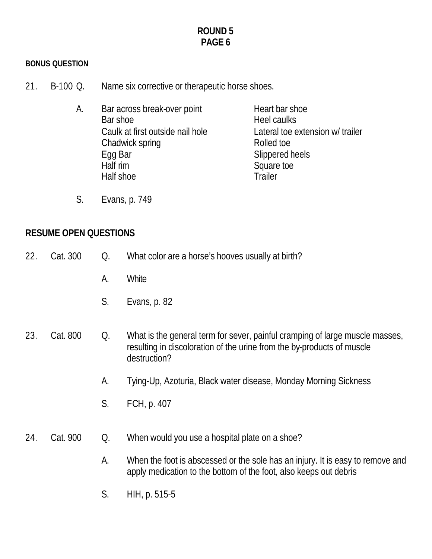#### **BONUS QUESTION**

- 21. B-100 Q. Name six corrective or therapeutic horse shoes.
	- A. Bar across break-over point Heart bar shoe Bar shoe **Heel caulks** Caulk at first outside nail hole Lateral toe extension w/ trailer Chadwick spring Rolled to Bolled to Rolled to Bolled to Rolled to Bolled to Bolled to Bolled to Bolled to Bolled to Bolled to Bolled to Bolled to Bolled to Bolled to Bolled to Bolled to Bolled to Bolled to Bolled to Bolled Egg Bar Slippered heels Half rim Square toe Half shoe Trailer
	- S. Evans, p. 749

#### **RESUME OPEN QUESTIONS**

- 22. Cat. 300 Q. What color are a horse's hooves usually at birth?
	- A. White
	- S. Evans, p. 82
- 23. Cat. 800 Q. What is the general term for sever, painful cramping of large muscle masses, resulting in discoloration of the urine from the by-products of muscle destruction?
	- A. Tying-Up, Azoturia, Black water disease, Monday Morning Sickness
	- S. FCH, p. 407
- 24. Cat. 900 Q. When would you use a hospital plate on a shoe?
	- A. When the foot is abscessed or the sole has an injury. It is easy to remove and apply medication to the bottom of the foot, also keeps out debris
	- S. HIH, p. 515-5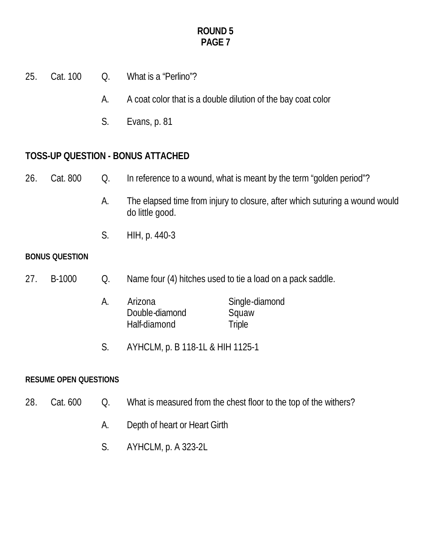- 25. Cat. 100 Q. What is a "Perlino"?
	- A. A coat color that is a double dilution of the bay coat color
	- S. Evans, p. 81

# **TOSS-UP QUESTION - BONUS ATTACHED**

# 26. Cat. 800 Q. In reference to a wound, what is meant by the term "golden period"?

- A. The elapsed time from injury to closure, after which suturing a wound would do little good.
- S. HIH, p. 440-3

#### **BONUS QUESTION**

- 27. B-1000 Q. Name four (4) hitches used to tie a load on a pack saddle.
	- A. Arizona Single-diamond<br>Double-diamond Squaw Double-diamond Half-diamond Triple
	- S. AYHCLM, p. B 118-1L & HIH 1125-1

#### **RESUME OPEN QUESTIONS**

- 28. Cat. 600 Q. What is measured from the chest floor to the top of the withers?
	- A. Depth of heart or Heart Girth
	- S. AYHCLM, p. A 323-2L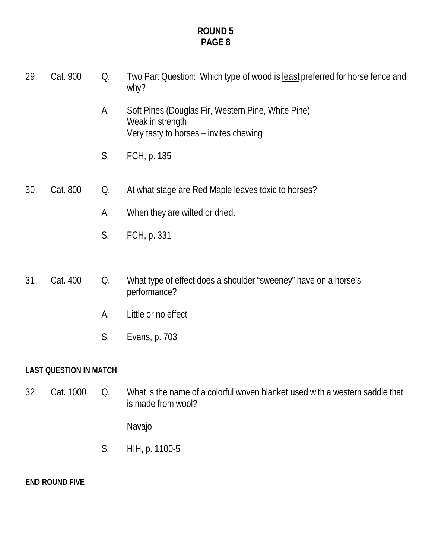- 29. Cat. 900 Q. Two Part Question: Which type of wood is least preferred for horse fence and why?
	- A. Soft Pines (Douglas Fir, Western Pine, White Pine) Weak in strength Very tasty to horses – invites chewing
	- S. FCH, p. 185
- 30. Cat. 800 Q. At what stage are Red Maple leaves toxic to horses?
	- A. When they are wilted or dried.
	- S. FCH, p. 331
- 31. Cat. 400 Q. What type of effect does a shoulder "sweeney" have on a horse's performance?
	- A. Little or no effect
	- S. Evans, p. 703

#### **LAST QUESTION IN MATCH**

32. Cat. 1000 Q. What is the name of a colorful woven blanket used with a western saddle that is made from wool?

Navajo

S. HIH, p. 1100-5

**END ROUND FIVE**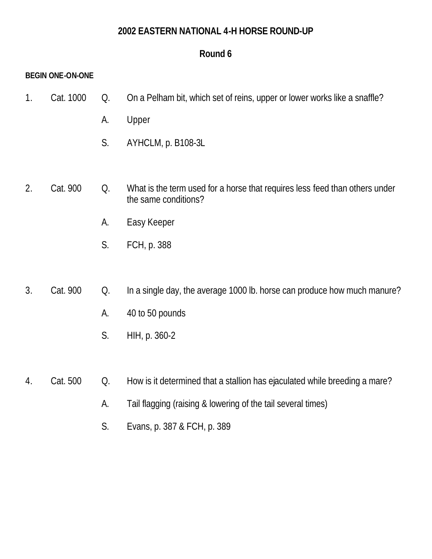### **2002 EASTERN NATIONAL 4-H HORSE ROUND-UP**

# **Round 6**

#### **BEGIN ONE-ON-ONE**

- 1. Cat. 1000 Q. On a Pelham bit, which set of reins, upper or lower works like a snaffle?
	- A. Upper
	- S. AYHCLM, p. B108-3L
- 2. Cat. 900 Q. What is the term used for a horse that requires less feed than others under the same conditions?
	- A. Easy Keeper
	- S. FCH, p. 388
- 3. Cat. 900 Q. In a single day, the average 1000 lb. horse can produce how much manure?
	- A. 40 to 50 pounds
	- S. HIH, p. 360-2
- 4. Cat. 500 Q. How is it determined that a stallion has ejaculated while breeding a mare?
	- A. Tail flagging (raising & lowering of the tail several times)
	- S. Evans, p. 387 & FCH, p. 389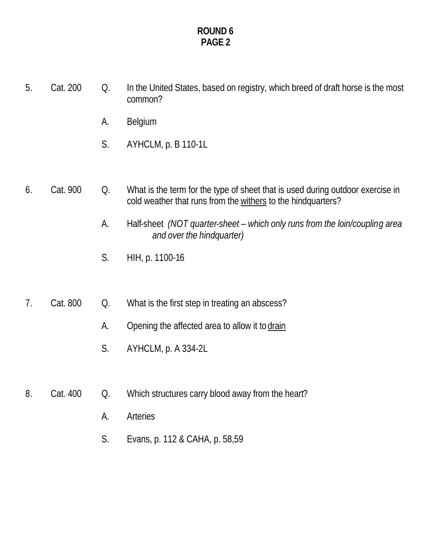- 5. Cat. 200 Q. In the United States, based on registry, which breed of draft horse is the most common?
	- A. Belgium
	- S. AYHCLM, p. B 110-1L
- 6. Cat. 900 Q. What is the term for the type of sheet that is used during outdoor exercise in cold weather that runs from the withers to the hindquarters?
	- A. Half-sheet *(NOT quarter-sheet which only runs from the loin/coupling area and over the hindquarter)*
	- S. HIH, p. 1100-16
- 7. Cat. 800 Q. What is the first step in treating an abscess?
	- A. Opening the affected area to allow it to drain
	- S. AYHCLM, p. A 334-2L
- 8. Cat. 400 Q. Which structures carry blood away from the heart?
	- A. Arteries
	- S. Evans, p. 112 & CAHA, p. 58,59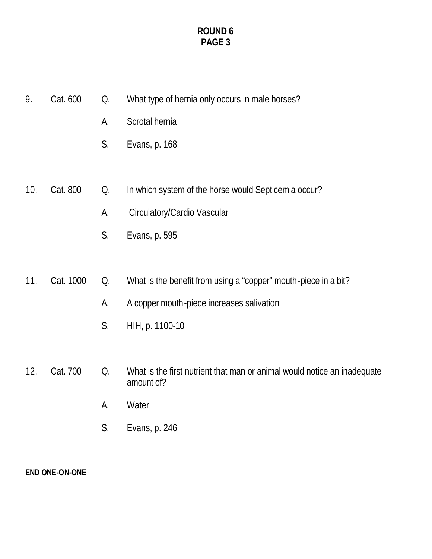- 9. Cat. 600 Q. What type of hernia only occurs in male horses?
	- A. Scrotal hernia
	- S. Evans, p. 168
- 10. Cat. 800 Q. In which system of the horse would Septicemia occur?
	- A. Circulatory/Cardio Vascular
	- S. Evans, p. 595
- 11. Cat. 1000 Q. What is the benefit from using a "copper" mouth-piece in a bit?
	- A. A copper mouth-piece increases salivation
	- S. HIH, p. 1100-10
- 12. Cat. 700 Q. What is the first nutrient that man or animal would notice an inadequate amount of?
	- A. Water
	- S. Evans, p. 246

**END ONE-ON-ONE**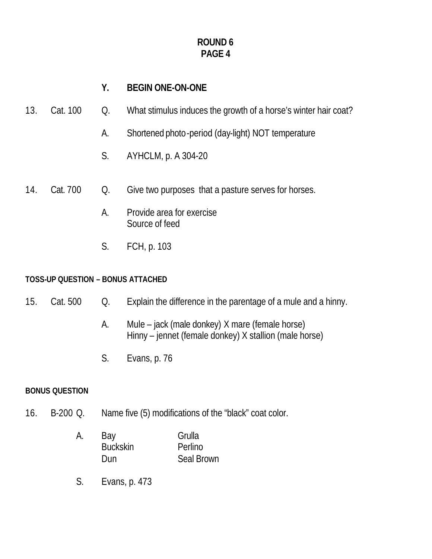# **Y. BEGIN ONE-ON-ONE**

- 13. Cat. 100 Q. What stimulus induces the growth of a horse's winter hair coat?
	- A. Shortened photo-period (day-light) NOT temperature
	- S. AYHCLM, p. A 304-20
- 14. Cat. 700 Q. Give two purposes that a pasture serves for horses.
	- A. Provide area for exercise Source of feed
	- S. FCH, p. 103

#### **TOSS-UP QUESTION – BONUS ATTACHED**

- 15. Cat. 500 Q. Explain the difference in the parentage of a mule and a hinny.
	- A. Mule jack (male donkey) X mare (female horse) Hinny – jennet (female donkey) X stallion (male horse)
	- S. Evans, p. 76

#### **BONUS QUESTION**

- 16. B-200 Q. Name five (5) modifications of the "black" coat color.
	- A. Bay Grulla Buckskin Perlino Dun Seal Brown
	- S. Evans, p. 473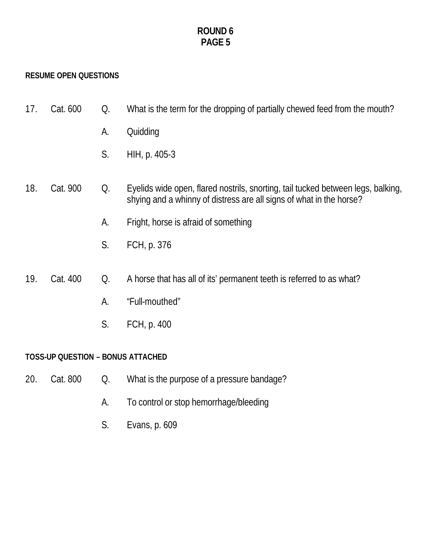#### **RESUME OPEN QUESTIONS**

- 17. Cat. 600 Q. What is the term for the dropping of partially chewed feed from the mouth?
	- A. Quidding
	- S. HIH, p. 405-3
- 18. Cat. 900 Q. Eyelids wide open, flared nostrils, snorting, tail tucked between legs, balking, shying and a whinny of distress are all signs of what in the horse?
	- A. Fright, horse is afraid of something
	- S. FCH, p. 376
- 19. Cat. 400 Q. A horse that has all of its' permanent teeth is referred to as what?
	- A. "Full-mouthed"
	- S. FCH, p. 400

#### **TOSS-UP QUESTION – BONUS ATTACHED**

- 20. Cat. 800 Q. What is the purpose of a pressure bandage?
	- A. To control or stop hemorrhage/bleeding
	- S. Evans, p. 609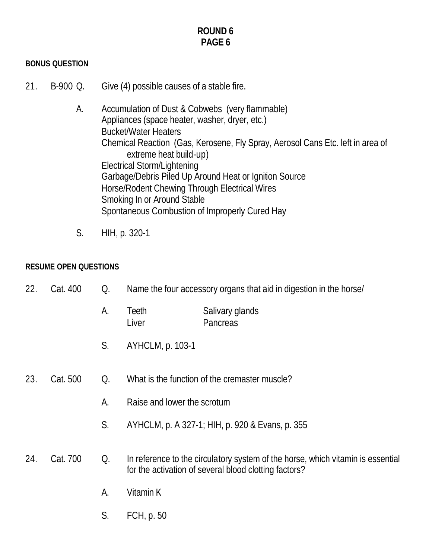#### **BONUS QUESTION**

- 21. B-900 Q. Give (4) possible causes of a stable fire.
	- A. Accumulation of Dust & Cobwebs (very flammable) Appliances (space heater, washer, dryer, etc.) Bucket/Water Heaters Chemical Reaction (Gas, Kerosene, Fly Spray, Aerosol Cans Etc. left in area of extreme heat build-up) Electrical Storm/Lightening Garbage/Debris Piled Up Around Heat or Ignition Source Horse/Rodent Chewing Through Electrical Wires Smoking In or Around Stable Spontaneous Combustion of Improperly Cured Hay
	- S. HIH, p. 320-1

#### **RESUME OPEN QUESTIONS**

| 22. | Cat. 400 | Q. |                             | Name the four accessory organs that aid in digestion in the horse/                                                                       |
|-----|----------|----|-----------------------------|------------------------------------------------------------------------------------------------------------------------------------------|
|     |          | A. | Teeth<br>Liver              | Salivary glands<br>Pancreas                                                                                                              |
|     |          | S. | AYHCLM, p. 103-1            |                                                                                                                                          |
| 23. | Cat. 500 | Q. |                             | What is the function of the cremaster muscle?                                                                                            |
|     |          | А. | Raise and lower the scrotum |                                                                                                                                          |
|     |          | S. |                             | AYHCLM, p. A 327-1; HIH, p. 920 & Evans, p. 355                                                                                          |
| 24. | Cat. 700 | Q. |                             | In reference to the circulatory system of the horse, which vitamin is essential<br>for the activation of several blood clotting factors? |
|     |          | А. | Vitamin K                   |                                                                                                                                          |
|     |          | S. | FCH, p. 50                  |                                                                                                                                          |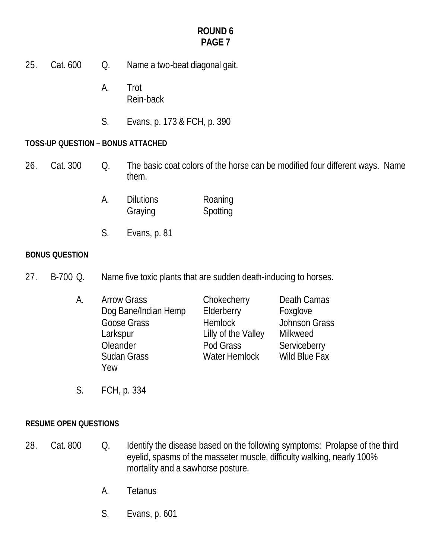- 25. Cat. 600 Q. Name a two-beat diagonal gait.
	- A. Trot Rein-back
	- S. Evans, p. 173 & FCH, p. 390

### **TOSS-UP QUESTION – BONUS ATTACHED**

- 26. Cat. 300 Q. The basic coat colors of the horse can be modified four different ways. Name them.
	- A. Dilutions Roaning Graying Spotting
	- S. Evans, p. 81

#### **BONUS QUESTION**

27. B-700 Q. Name five toxic plants that are sudden death-inducing to horses.

| А. | <b>Arrow Grass</b>   | Chokecherry          | Death Camas   |
|----|----------------------|----------------------|---------------|
|    | Dog Bane/Indian Hemp | Elderberry           | Foxglove      |
|    | Goose Grass          | <b>Hemlock</b>       | Johnson Grass |
|    | Larkspur             | Lilly of the Valley  | Milkweed      |
|    | Oleander             | Pod Grass            | Serviceberry  |
|    | <b>Sudan Grass</b>   | <b>Water Hemlock</b> | Wild Blue Fax |
|    | Yew                  |                      |               |

S. FCH, p. 334

#### **RESUME OPEN QUESTIONS**

- 28. Cat. 800 Q. Identify the disease based on the following symptoms: Prolapse of the third eyelid, spasms of the masseter muscle, difficulty walking, nearly 100% mortality and a sawhorse posture.
	- A. Tetanus
	- S. Evans, p. 601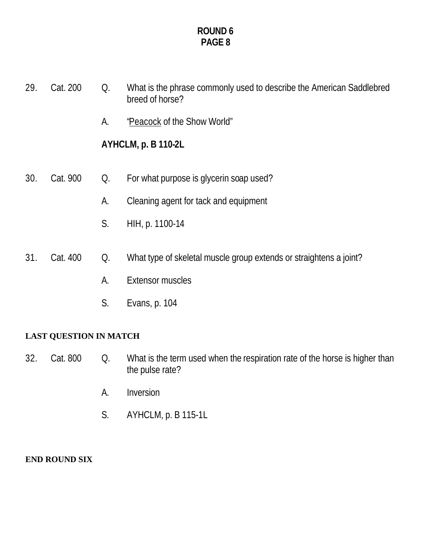- 29. Cat. 200 Q. What is the phrase commonly used to describe the American Saddlebred breed of horse? A. "Peacock of the Show World" **AYHCLM, p. B 110-2L** A. Cleaning agent for tack and equipment S. HIH, p. 1100-14
- 30. Cat. 900 Q. For what purpose is glycerin soap used?
- 31. Cat. 400 Q. What type of skeletal muscle group extends or straightens a joint?
	- A. Extensor muscles
	- S. Evans, p. 104

# **LAST QUESTION IN MATCH**

- 32. Cat. 800 Q. What is the term used when the respiration rate of the horse is higher than the pulse rate?
	- A. Inversion
	- S. AYHCLM, p. B 115-1L

#### **END ROUND SIX**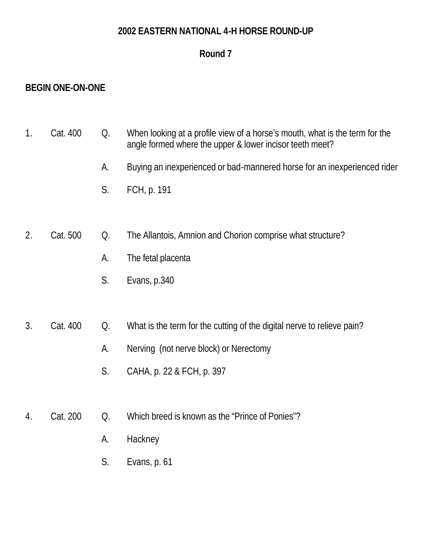### **2002 EASTERN NATIONAL 4-H HORSE ROUND-UP**

# **Round 7**

# **BEGIN ONE-ON-ONE**

| Cat. 400 | When looking at a profile view of a horse's mouth, what is the term for the |
|----------|-----------------------------------------------------------------------------|
|          | angle formed where the upper & lower incisor teeth meet?                    |

- A. Buying an inexperienced or bad-mannered horse for an inexperienced rider
- S. FCH, p. 191

# 2. Cat. 500 Q. The Allantois, Amnion and Chorion comprise what structure?

- A. The fetal placenta
- S. Evans, p.340

# 3. Cat. 400 Q. What is the term for the cutting of the digital nerve to relieve pain?

- A. Nerving (not nerve block) or Nerectomy
- S. CAHA, p. 22 & FCH, p. 397
- 4. Cat. 200 Q. Which breed is known as the "Prince of Ponies"?
	- A. Hackney
	- S. Evans, p. 61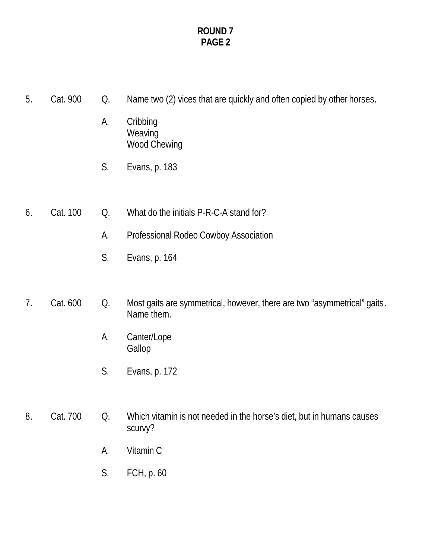- 5. Cat. 900 Q. Name two (2) vices that are quickly and often copied by other horses.
	- A. Cribbing **Weaving** Wood Chewing
	- S. Evans, p. 183
- 6. Cat. 100 Q. What do the initials P-R-C-A stand for?
	- A. Professional Rodeo Cowboy Association
	- S. Evans, p. 164

# 7. Cat. 600 Q. Most gaits are symmetrical, however, there are two "asymmetrical" gaits. Name them.

- A. Canter/Lope Gallop
- S. Evans, p. 172

# 8. Cat. 700 Q. Which vitamin is not needed in the horse's diet, but in humans causes scurvy?

- A. Vitamin C
- S. FCH, p. 60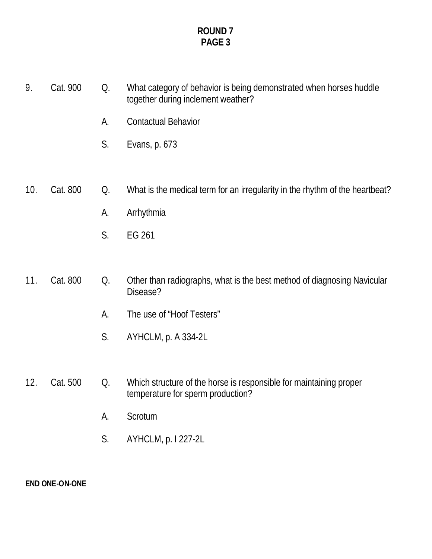- 9. Cat. 900 Q. What category of behavior is being demonstrated when horses huddle together during inclement weather?
	- A. Contactual Behavior
	- S. Evans, p. 673

# 10. Cat. 800 Q. What is the medical term for an irregularity in the rhythm of the heartbeat?

- A. Arrhythmia
- S. EG 261

# 11. Cat. 800 Q. Other than radiographs, what is the best method of diagnosing Navicular Disease?

- A. The use of "Hoof Testers"
- S. AYHCLM, p. A 334-2L

# 12. Cat. 500 Q. Which structure of the horse is responsible for maintaining proper temperature for sperm production?

- A. Scrotum
- S. AYHCLM, p. I 227-2L

**END ONE-ON-ONE**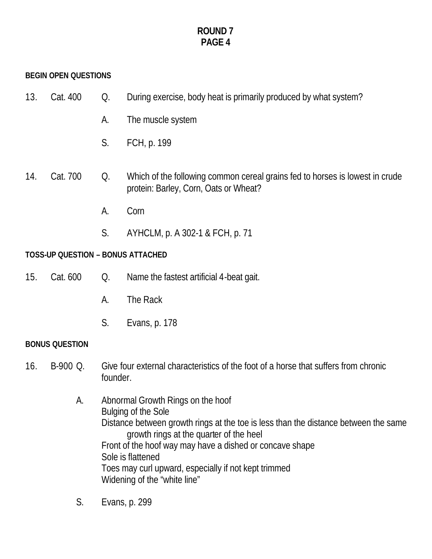#### **BEGIN OPEN QUESTIONS**

| 13. | Cat. 400 | During exercise, body heat is primarily produced by what system? |
|-----|----------|------------------------------------------------------------------|
|     |          |                                                                  |

- A. The muscle system
- S. FCH, p. 199

### 14. Cat. 700 Q. Which of the following common cereal grains fed to horses is lowest in crude protein: Barley, Corn, Oats or Wheat?

- A. Corn
- S. AYHCLM, p. A 302-1 & FCH, p. 71

#### **TOSS-UP QUESTION – BONUS ATTACHED**

- 15. Cat. 600 Q. Name the fastest artificial 4-beat gait.
	- A. The Rack
	- S. Evans, p. 178

#### **BONUS QUESTION**

- 16. B-900 Q. Give four external characteristics of the foot of a horse that suffers from chronic founder.
	- A. Abnormal Growth Rings on the hoof Bulging of the Sole Distance between growth rings at the toe is less than the distance between the same growth rings at the quarter of the heel Front of the hoof way may have a dished or concave shape Sole is flattened Toes may curl upward, especially if not kept trimmed Widening of the "white line"
	- S. Evans, p. 299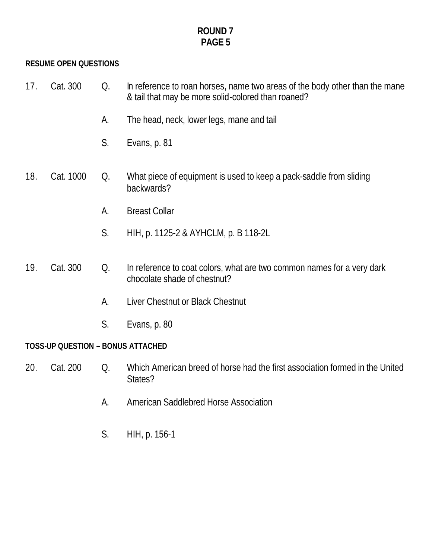#### **RESUME OPEN QUESTIONS**

| 17. Cat. 300<br>In reference to roan horses, name two areas of the body other than the mane<br>O <sub>1</sub><br>& tail that may be more solid-colored than roaned? |  |
|---------------------------------------------------------------------------------------------------------------------------------------------------------------------|--|
|---------------------------------------------------------------------------------------------------------------------------------------------------------------------|--|

- A. The head, neck, lower legs, mane and tail
- S. Evans, p. 81
- 18. Cat. 1000 Q. What piece of equipment is used to keep a pack-saddle from sliding backwards?
	- A. Breast Collar
	- S. HIH, p. 1125-2 & AYHCLM, p. B 118-2L

### 19. Cat. 300 Q. In reference to coat colors, what are two common names for a very dark chocolate shade of chestnut?

- A. Liver Chestnut or Black Chestnut
- S. Evans, p. 80

#### **TOSS-UP QUESTION – BONUS ATTACHED**

- 20. Cat. 200 Q. Which American breed of horse had the first association formed in the United States?
	- A. American Saddlebred Horse Association
	- S. HIH, p. 156-1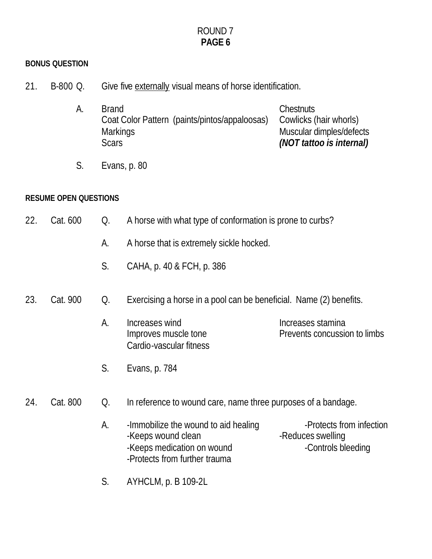#### **BONUS QUESTION**

- 21. B-800 Q. Give five externally visual means of horse identification.
	- A. Brand Chestnuts Coat Color Pattern (paints/pintos/appaloosas) Cowlicks (hair whorls) Markings Muscular dimples/defects<br>Scars **Muscular dimples/defects** Scars *(NOT tattoo is internal)*
	- S. Evans, p. 80

#### **RESUME OPEN QUESTIONS**

| 22. | Cat. 600 | Q. | A horse with what type of conformation is prone to curbs?                                |                                                                     |  |
|-----|----------|----|------------------------------------------------------------------------------------------|---------------------------------------------------------------------|--|
|     |          | А. | A horse that is extremely sickle hocked.                                                 |                                                                     |  |
|     |          | S. | CAHA, p. 40 & FCH, p. 386                                                                |                                                                     |  |
| 23. | Cat. 900 | Q. | Exercising a horse in a pool can be beneficial. Name (2) benefits.                       |                                                                     |  |
|     |          | А. | Increases wind<br>Improves muscle tone<br>Cardio-vascular fitness                        | Increases stamina<br>Prevents concussion to limbs                   |  |
|     |          | S. | Evans, p. 784                                                                            |                                                                     |  |
| 24. | Cat. 800 | Q. | In reference to wound care, name three purposes of a bandage.                            |                                                                     |  |
|     |          | A. | -Immobilize the wound to aid healing<br>-Keeps wound clean<br>-Keeps medication on wound | -Protects from infection<br>-Reduces swelling<br>-Controls bleeding |  |

S. AYHCLM, p. B 109-2L

-Protects from further trauma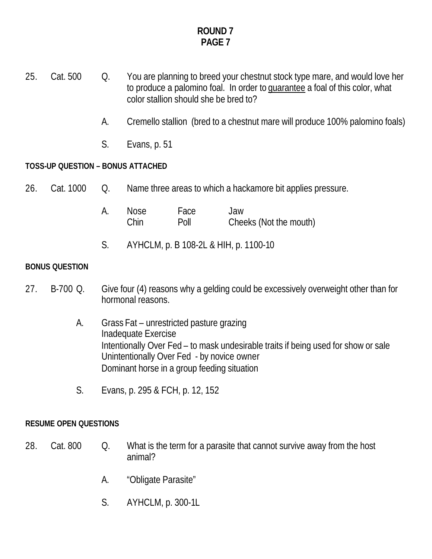- 25. Cat. 500 Q. You are planning to breed your chestnut stock type mare, and would love her to produce a palomino foal. In order to guarantee a foal of this color, what color stallion should she be bred to?
	- A. Cremello stallion (bred to a chestnut mare will produce 100% palomino foals)
	- S. Evans, p. 51

#### **TOSS-UP QUESTION – BONUS ATTACHED**

- 26. Cat. 1000 Q. Name three areas to which a hackamore bit applies pressure.
	- A. Nose Face Jaw Chin Poll Cheeks (Not the mouth)
	- S. AYHCLM, p. B 108-2L & HIH, p. 1100-10

#### **BONUS QUESTION**

- 27. B-700 Q. Give four (4) reasons why a gelding could be excessively overweight other than for hormonal reasons.
	- A. Grass Fat unrestricted pasture grazing Inadequate Exercise Intentionally Over Fed – to mask undesirable traits if being used for show or sale Unintentionally Over Fed - by novice owner Dominant horse in a group feeding situation
	- S. Evans, p. 295 & FCH, p. 12, 152

#### **RESUME OPEN QUESTIONS**

- 28. Cat. 800 Q. What is the term for a parasite that cannot survive away from the host animal?
	- A. "Obligate Parasite"
	- S. AYHCLM, p. 300-1L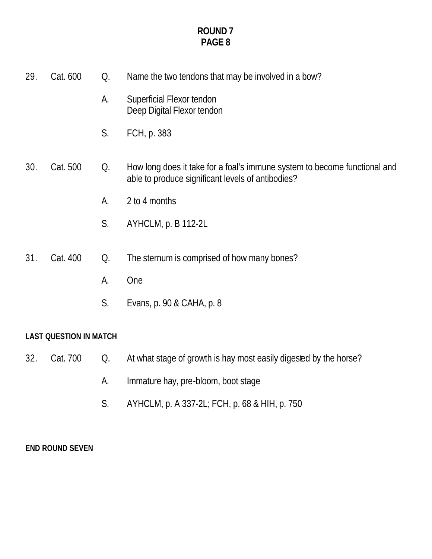| 29. | Cat. 600                      | Q. | Name the two tendons that may be involved in a bow?                                                                            |  |  |
|-----|-------------------------------|----|--------------------------------------------------------------------------------------------------------------------------------|--|--|
|     |                               | A. | Superficial Flexor tendon<br>Deep Digital Flexor tendon                                                                        |  |  |
|     |                               | S. | FCH, p. 383                                                                                                                    |  |  |
| 30. | Cat. 500                      | Q. | How long does it take for a foal's immune system to become functional and<br>able to produce significant levels of antibodies? |  |  |
|     |                               | А. | 2 to 4 months                                                                                                                  |  |  |
|     |                               | S. | AYHCLM, p. B 112-2L                                                                                                            |  |  |
| 31. | Cat. 400                      | Q. | The sternum is comprised of how many bones?                                                                                    |  |  |
|     |                               | A. | <b>One</b>                                                                                                                     |  |  |
|     |                               | S. | Evans, p. 90 & CAHA, p. 8                                                                                                      |  |  |
|     | <b>LAST QUESTION IN MATCH</b> |    |                                                                                                                                |  |  |

- 32. Cat. 700 Q. At what stage of growth is hay most easily digested by the horse?
	- A. Immature hay, pre-bloom, boot stage
	- S. AYHCLM, p. A 337-2L; FCH, p. 68 & HIH, p. 750

## **END ROUND SEVEN**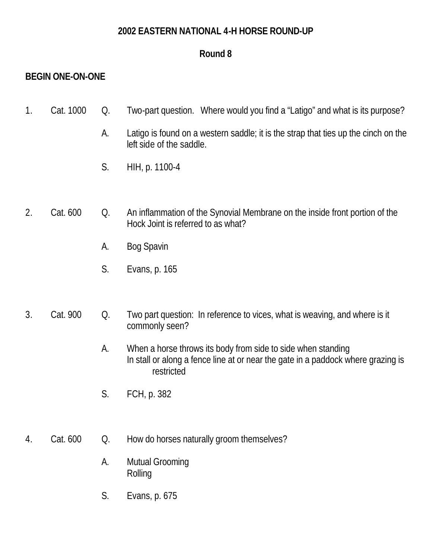## **2002 EASTERN NATIONAL 4-H HORSE ROUND-UP**

# **Round 8**

# **BEGIN ONE-ON-ONE**

| Cat. 1000 Q. |  | Two-part question. Where would you find a "Latigo" and what is its purpose? |
|--------------|--|-----------------------------------------------------------------------------|
|              |  |                                                                             |

- A. Latigo is found on a western saddle; it is the strap that ties up the cinch on the left side of the saddle.
- S. HIH, p. 1100-4

## 2. Cat. 600 Q. An inflammation of the Synovial Membrane on the inside front portion of the Hock Joint is referred to as what?

- A. Bog Spavin
- S. Evans, p. 165

## 3. Cat. 900 Q. Two part question: In reference to vices, what is weaving, and where is it commonly seen?

- A. When a horse throws its body from side to side when standing In stall or along a fence line at or near the gate in a paddock where grazing is restricted
- S. FCH, p. 382

## 4. Cat. 600 Q. How do horses naturally groom themselves?

- A. Mutual Grooming Rolling
- S. Evans, p. 675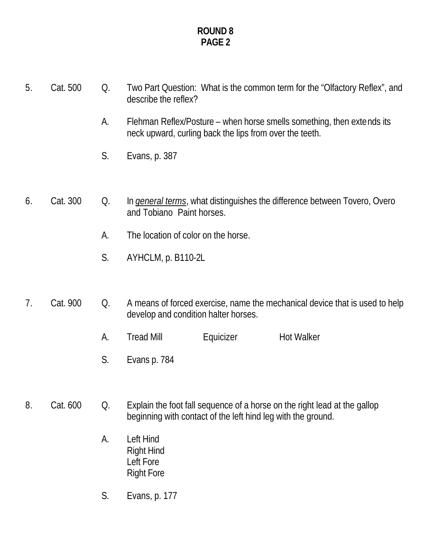| 5. | Cat. 500 | Q. | Two Part Question: What is the common term for the "Olfactory Reflex", and<br>describe the reflex?                                |
|----|----------|----|-----------------------------------------------------------------------------------------------------------------------------------|
|    |          | А. | Flehman Reflex/Posture – when horse smells something, then extends its<br>neck upward, curling back the lips from over the teeth. |
|    |          | S. | Evans, p. 387                                                                                                                     |
|    |          |    |                                                                                                                                   |
| 6. | Cat. 300 | Q. | In <i>general terms</i> , what distinguishes the difference between Tovero, Overo<br>and Tobiano Paint horses.                    |
|    |          | А. | The location of color on the horse.                                                                                               |
|    |          | S. | AYHCLM, p. B110-2L                                                                                                                |
|    |          |    |                                                                                                                                   |
|    |          |    |                                                                                                                                   |

- 7. Cat. 900 Q. A means of forced exercise, name the mechanical device that is used to help develop and condition halter horses.
	- A. Tread Mill **Equicizer** Hot Walker
	- S. Evans p. 784
- 8. Cat. 600 Q. Explain the foot fall sequence of a horse on the right lead at the gallop beginning with contact of the left hind leg with the ground.
	- A. Left Hind Right Hind Left Fore Right Fore
	- S. Evans, p. 177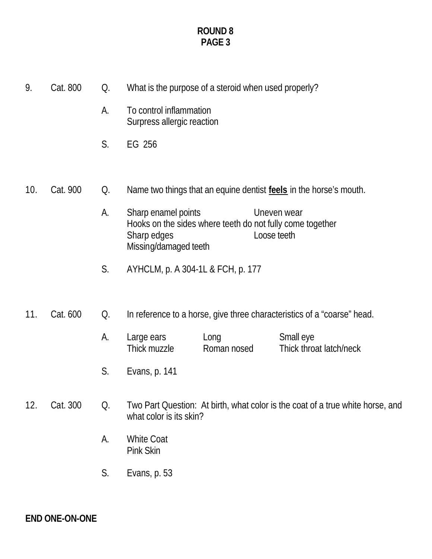| 9.  | Cat. 800 | Q. |                                                             | What is the purpose of a steroid when used properly?      |                                                                                |
|-----|----------|----|-------------------------------------------------------------|-----------------------------------------------------------|--------------------------------------------------------------------------------|
|     |          | А. | To control inflammation<br>Surpress allergic reaction       |                                                           |                                                                                |
|     |          | S. | EG 256                                                      |                                                           |                                                                                |
|     |          |    |                                                             |                                                           |                                                                                |
| 10. | Cat. 900 | Q. |                                                             |                                                           | Name two things that an equine dentist feels in the horse's mouth.             |
|     |          | А. | Sharp enamel points<br>Sharp edges<br>Missing/damaged teeth | Hooks on the sides where teeth do not fully come together | Uneven wear<br>Loose teeth                                                     |
|     |          | S. | AYHCLM, p. A 304-1L & FCH, p. 177                           |                                                           |                                                                                |
| 11. | Cat. 600 | Q. |                                                             |                                                           | In reference to a horse, give three characteristics of a "coarse" head.        |
|     |          | А. | Large ears<br>Thick muzzle                                  | Long<br>Roman nosed                                       | Small eye<br>Thick throat latch/neck                                           |
|     |          | S. | Evans, p. 141                                               |                                                           |                                                                                |
| 12. | Cat. 300 | Q. | what color is its skin?                                     |                                                           | Two Part Question: At birth, what color is the coat of a true white horse, and |

- A. White Coat Pink Skin
- S. Evans, p. 53

**END ONE-ON-ONE**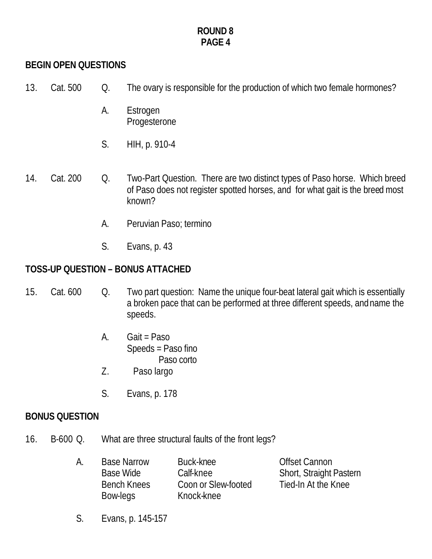# **BEGIN OPEN QUESTIONS**

- 13. Cat. 500 Q. The ovary is responsible for the production of which two female hormones?
	- A. Estrogen Progesterone
	- S. HIH, p. 910-4
- 14. Cat. 200 Q. Two-Part Question. There are two distinct types of Paso horse. Which breed of Paso does not register spotted horses, and for what gait is the breed most known?
	- A. Peruvian Paso; termino
	- S. Evans, p. 43

# **TOSS-UP QUESTION – BONUS ATTACHED**

- 15. Cat. 600 Q. Two part question: Name the unique four-beat lateral gait which is essentially a broken pace that can be performed at three different speeds, and name the speeds.
	- A. Gait = Paso Speeds = Paso fino Paso corto
	- Z. Paso largo
	- S. Evans, p. 178

## **BONUS QUESTION**

16. B-600 Q. What are three structural faults of the front legs?

| А. | <b>Base Narrow</b> | Buck-knee           | <b>Offset Cannon</b>           |
|----|--------------------|---------------------|--------------------------------|
|    | Base Wide          | Calf-knee           | <b>Short, Straight Pastern</b> |
|    | Bench Knees        | Coon or Slew-footed | Tied-In At the Knee            |
|    | Bow-legs           | Knock-knee          |                                |

S. Evans, p. 145-157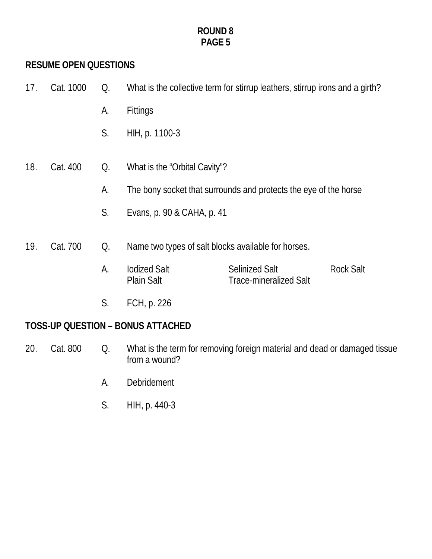# **RESUME OPEN QUESTIONS**

| 17. | Cat. 1000 | Q. |                                          | What is the collective term for stirrup leathers, stirrup irons and a girth? |                  |
|-----|-----------|----|------------------------------------------|------------------------------------------------------------------------------|------------------|
|     |           | А. | <b>Fittings</b>                          |                                                                              |                  |
|     |           | S. | HIH, p. 1100-3                           |                                                                              |                  |
| 18. | Cat. 400  | Q. | What is the "Orbital Cavity"?            |                                                                              |                  |
|     |           | А. |                                          | The bony socket that surrounds and protects the eye of the horse             |                  |
|     |           | S. | Evans, p. 90 & CAHA, p. 41               |                                                                              |                  |
| 19. | Cat. 700  | Q. |                                          | Name two types of salt blocks available for horses.                          |                  |
|     |           | А. | <b>lodized Salt</b><br><b>Plain Salt</b> | <b>Selinized Salt</b><br><b>Trace-mineralized Salt</b>                       | <b>Rock Salt</b> |
|     |           | S. | FCH, p. 226                              |                                                                              |                  |

# **TOSS-UP QUESTION – BONUS ATTACHED**

- 20. Cat. 800 Q. What is the term for removing foreign material and dead or damaged tissue from a wound?
	- A. Debridement
	- S. HIH, p. 440-3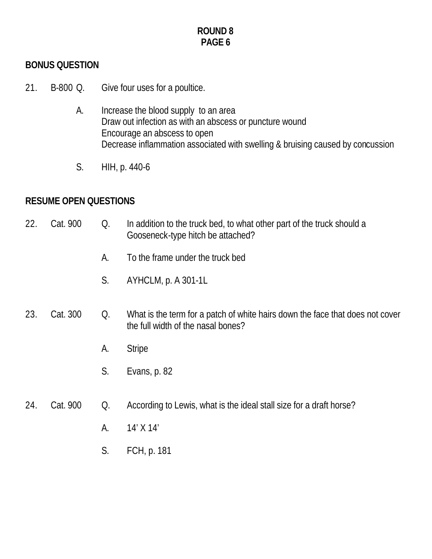# **BONUS QUESTION**

- 21. B-800 Q. Give four uses for a poultice.
	- A. Increase the blood supply to an area Draw out infection as with an abscess or puncture wound Encourage an abscess to open Decrease inflammation associated with swelling & bruising caused by concussion
	- S. HIH, p. 440-6

# **RESUME OPEN QUESTIONS**

| 22. | Cat. 900 | Q. | In addition to the truck bed, to what other part of the truck should a<br>Gooseneck-type hitch be attached?         |
|-----|----------|----|---------------------------------------------------------------------------------------------------------------------|
|     |          | А. | To the frame under the truck bed                                                                                    |
|     |          | S. | AYHCLM, p. A 301-1L                                                                                                 |
| 23. | Cat. 300 | Q. | What is the term for a patch of white hairs down the face that does not cover<br>the full width of the nasal bones? |
|     |          | A. | <b>Stripe</b>                                                                                                       |
|     |          | S. | Evans, p. 82                                                                                                        |
|     |          |    |                                                                                                                     |
| 24. | Cat. 900 | Q. | According to Lewis, what is the ideal stall size for a draft horse?                                                 |
|     |          | А. | 14' X 14'                                                                                                           |
|     |          | S. | FCH, p. 181                                                                                                         |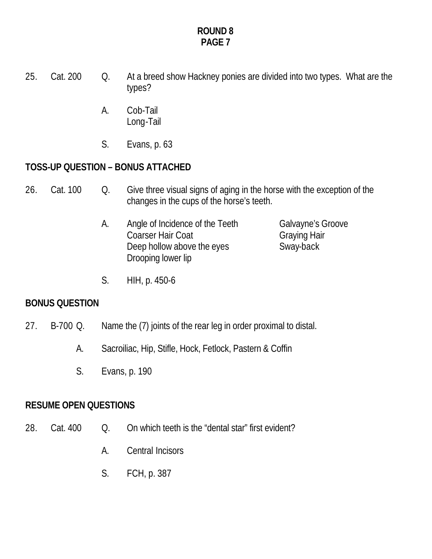- 25. Cat. 200 Q. At a breed show Hackney ponies are divided into two types. What are the types?
	- A. Cob-Tail Long-Tail
	- S. Evans, p. 63

# **TOSS-UP QUESTION – BONUS ATTACHED**

- 26. Cat. 100 Q. Give three visual signs of aging in the horse with the exception of the changes in the cups of the horse's teeth.
	- A. Angle of Incidence of the Teeth Galvayne's Groove Coarser Hair Coat Graying Hair Deep hollow above the eyes Sway-back Drooping lower lip

S. HIH, p. 450-6

## **BONUS QUESTION**

- 27. B-700 Q. Name the (7) joints of the rear leg in order proximal to distal.
	- A. Sacroiliac, Hip, Stifle, Hock, Fetlock, Pastern & Coffin
	- S. Evans, p. 190

# **RESUME OPEN QUESTIONS**

- 28. Cat. 400 O. On which teeth is the "dental star" first evident?
	- A. Central Incisors
	- S. FCH, p. 387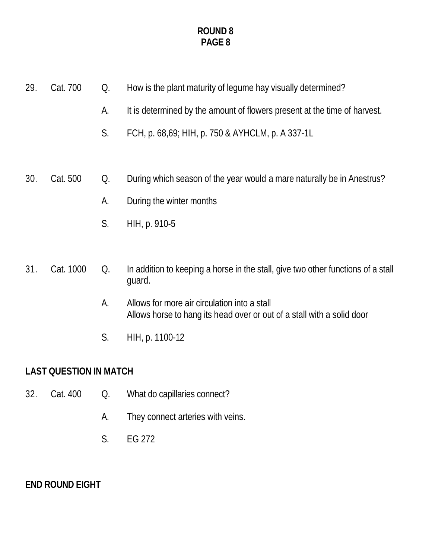- 29. Cat. 700 Q. How is the plant maturity of legume hay visually determined?
	- A. It is determined by the amount of flowers present at the time of harvest.
	- S. FCH, p. 68,69; HIH, p. 750 & AYHCLM, p. A 337-1L
- 30. Cat. 500 Q. During which season of the year would a mare naturally be in Anestrus?
	- A. During the winter months
	- S. HIH, p. 910-5

# 31. Cat. 1000 Q. In addition to keeping a horse in the stall, give two other functions of a stall guard.

- A. Allows for more air circulation into a stall Allows horse to hang its head over or out of a stall with a solid door
- S. HIH, p. 1100-12

# **LAST QUESTION IN MATCH**

- 32. Cat. 400 Q. What do capillaries connect?
	- A. They connect arteries with veins.
	- S. EG 272

**END ROUND EIGHT**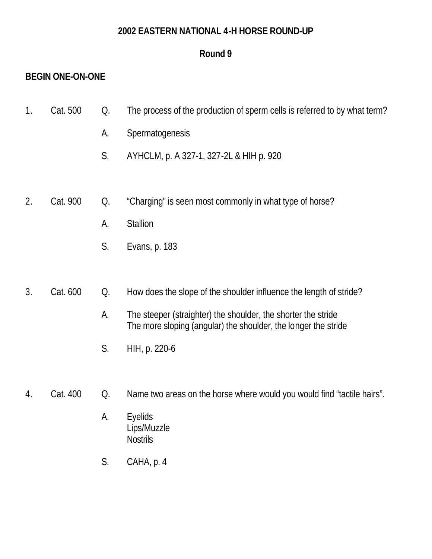## **2002 EASTERN NATIONAL 4-H HORSE ROUND-UP**

# **Round 9**

# **BEGIN ONE-ON-ONE**

- 1. Cat. 500 Q. The process of the production of sperm cells is referred to by what term?
	- A. Spermatogenesis
	- S. AYHCLM, p. A 327-1, 327-2L & HIH p. 920
- 2. Cat. 900 Q. "Charging" is seen most commonly in what type of horse?
	- A. Stallion
	- S. Evans, p. 183

# 3. Cat. 600 Q. How does the slope of the shoulder influence the length of stride?

- A. The steeper (straighter) the shoulder, the shorter the stride The more sloping (angular) the shoulder, the longer the stride
- S. HIH, p. 220-6
- 4. Cat. 400 Q. Name two areas on the horse where would you would find "tactile hairs".
	- A. Eyelids Lips/Muzzle **Nostrils**
	- S. CAHA, p. 4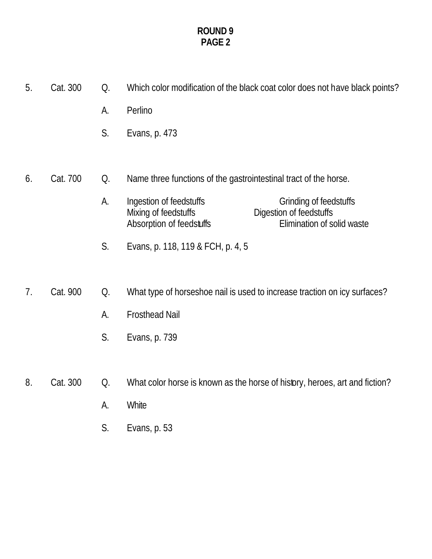- 5. Cat. 300 Q. Which color modification of the black coat color does not have black points? A. Perlino S. Evans, p. 473 6. Cat. 700 Q. Name three functions of the gastrointestinal tract of the horse. A. Ingestion of feedstuffs<br>
Mixing of feedstuffs<br>
Digestion of feedstuffs Digestion of feedstuffs<br>Elimination of solid waste Absorption of feedstuffs S. Evans, p. 118, 119 & FCH, p. 4, 5 7. Cat. 900 Q. What type of horseshoe nail is used to increase traction on icy surfaces? A. Frosthead Nail S. Evans, p. 739 8. Cat. 300 Q. What color horse is known as the horse of history, heroes, art and fiction?
	- A. White
	- S. Evans, p. 53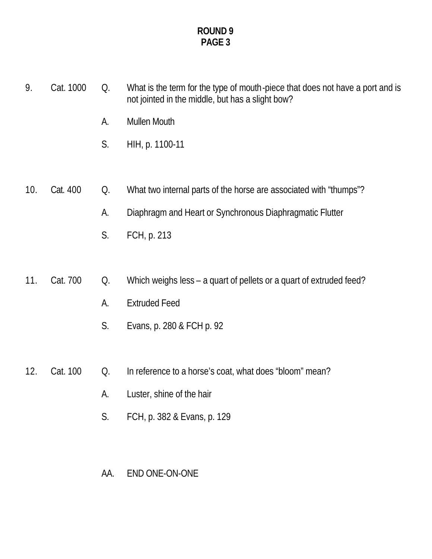- 9. Cat. 1000 Q. What is the term for the type of mouth-piece that does not have a port and is not jointed in the middle, but has a slight bow?
	- A. Mullen Mouth
	- S. HIH, p. 1100-11
- 10. Cat. 400 Q. What two internal parts of the horse are associated with "thumps"?
	- A. Diaphragm and Heart or Synchronous Diaphragmatic Flutter
	- S. FCH, p. 213

# 11. Cat. 700 Q. Which weighs less – a quart of pellets or a quart of extruded feed?

- A. Extruded Feed
- S. Evans, p. 280 & FCH p. 92
- 12. Cat. 100 Q. In reference to a horse's coat, what does "bloom" mean?
	- A. Luster, shine of the hair
	- S. FCH, p. 382 & Evans, p. 129

## AA. END ONE-ON-ONE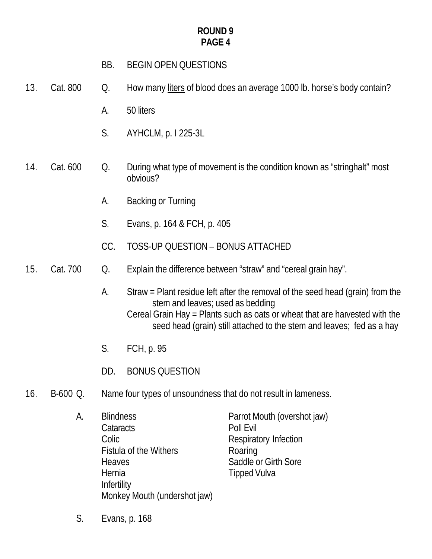- BB. BEGIN OPEN QUESTIONS
- 13. Cat. 800 Q. How many liters of blood does an average 1000 lb. horse's body contain?
	- A. 50 liters
	- S. AYHCLM, p. I 225-3L
- 14. Cat. 600 Q. During what type of movement is the condition known as "stringhalt" most obvious?
	- A. Backing or Turning
	- S. Evans, p. 164 & FCH, p. 405
	- CC. TOSS-UP QUESTION BONUS ATTACHED
- 15. Cat. 700 Q. Explain the difference between "straw" and "cereal grain hay".
	- A. Straw = Plant residue left after the removal of the seed head (grain) from the stem and leaves; used as bedding Cereal Grain Hay = Plants such as oats or wheat that are harvested with the seed head (grain) still attached to the stem and leaves; fed as a hay
	- S. FCH, p. 95
	- DD. BONUS QUESTION
- 16. B-600 Q. Name four types of unsoundness that do not result in lameness.
	- A. Blindness Parrot Mouth (overshot jaw) Cataracts Poll Evil Colic **Colic** Respiratory Infection Fistula of the Withers Roaring **Heaves** Saddle or Girth Sore Hernia **Tipped Vulva Infertility** Monkey Mouth (undershot jaw)
	- S. Evans, p. 168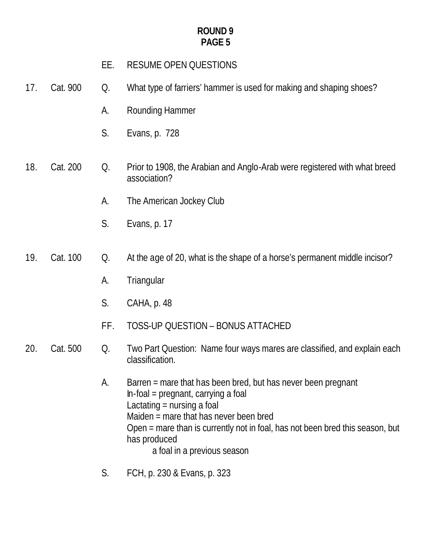| RESUME OPEN QUESTIONS<br>EE. |
|------------------------------|
|------------------------------|

- 17. Cat. 900 Q. What type of farriers' hammer is used for making and shaping shoes?
	- A. Rounding Hammer
	- S. Evans, p. 728
- 18. Cat. 200 Q. Prior to 1908, the Arabian and Anglo-Arab were registered with what breed association?
	- A. The American Jockey Club
	- S. Evans, p. 17
- 19. Cat. 100 Q. At the age of 20, what is the shape of a horse's permanent middle incisor?
	- A. Triangular
	- S. CAHA, p. 48
	- FF. TOSS-UP QUESTION BONUS ATTACHED
- 20. Cat. 500 Q. Two Part Question: Name four ways mares are classified, and explain each classification.
	- A. Barren = mare that has been bred, but has never been pregnant In-foal = pregnant, carrying a foal Lactating  $=$  nursing a foal Maiden = mare that has never been bred Open = mare than is currently not in foal, has not been bred this season, but has produced a foal in a previous season
	- S. FCH, p. 230 & Evans, p. 323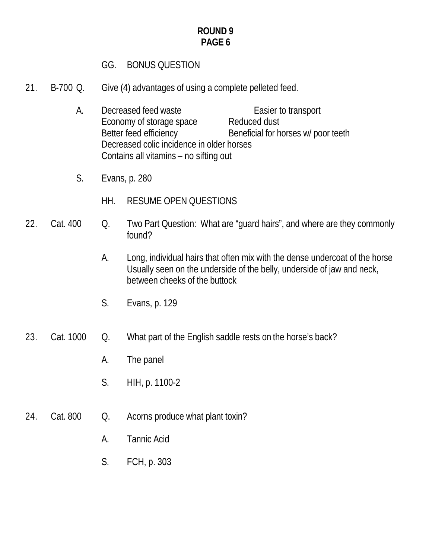# GG. BONUS QUESTION

- 21. B-700 Q. Give (4) advantages of using a complete pelleted feed.
	- A. Decreased feed waste Easier to transport Economy of storage space Reduced dust Better feed efficiency Beneficial for horses w/ poor teeth Decreased colic incidence in older horses Contains all vitamins – no sifting out
	- S. Evans, p. 280
		- HH. RESUME OPEN QUESTIONS
- 22. Cat. 400 Q. Two Part Question: What are "guard hairs", and where are they commonly found?
	- A. Long, individual hairs that often mix with the dense undercoat of the horse Usually seen on the underside of the belly, underside of jaw and neck, between cheeks of the buttock
	- S. Evans, p. 129

# 23. Cat. 1000 Q. What part of the English saddle rests on the horse's back?

- A. The panel
- S. HIH, p. 1100-2
- 24. Cat. 800 Q. Acorns produce what plant toxin?
	- A. Tannic Acid
	- S. FCH, p. 303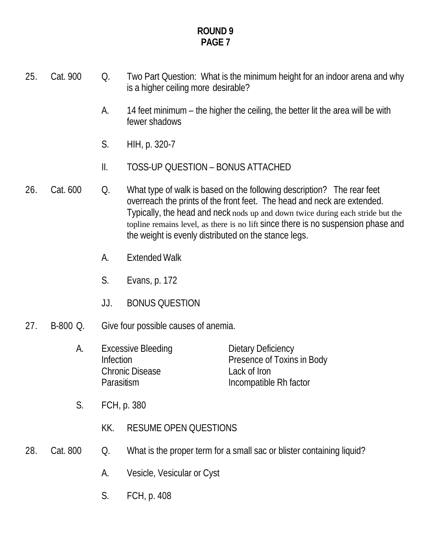- 25. Cat. 900 Q. Two Part Question: What is the minimum height for an indoor arena and why is a higher ceiling more desirable?
	- A. 14 feet minimum the higher the ceiling, the better lit the area will be with fewer shadows
	- S. HIH, p. 320-7
	- II. TOSS-UP QUESTION BONUS ATTACHED
- 26. Cat. 600 Q. What type of walk is based on the following description? The rear feet overreach the prints of the front feet. The head and neck are extended. Typically, the head and neck nods up and down twice during each stride but the topline remains level, as there is no lift since there is no suspension phase and the weight is evenly distributed on the stance legs.
	- A. Extended Walk
	- S. Evans, p. 172
	- JJ. BONUS QUESTION
- 27. B-800 Q. Give four possible causes of anemia.
	- A. Excessive Bleeding Dietary Deficiency Infection **Presence of Toxins in Body** Chronic Disease Lack of Iron Parasitism **Incompatible Rh** factor
	- S. FCH, p. 380
		- KK. RESUME OPEN QUESTIONS
- 28. Cat. 800 Q. What is the proper term for a small sac or blister containing liquid?
	- A. Vesicle, Vesicular or Cyst
	- S. FCH, p. 408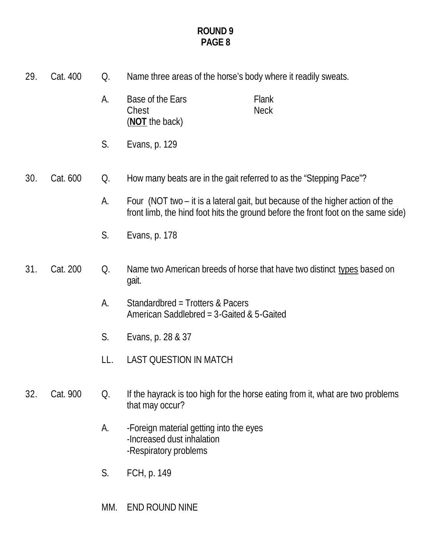| 29. | Cat. 400 | Q.  | Name three areas of the horse's body where it readily sweats.                                                                                                      |
|-----|----------|-----|--------------------------------------------------------------------------------------------------------------------------------------------------------------------|
|     |          | А.  | Base of the Ears<br>Flank<br><b>Neck</b><br>Chest<br>(NOT the back)                                                                                                |
|     |          | S.  | Evans, p. 129                                                                                                                                                      |
| 30. | Cat. 600 | Q.  | How many beats are in the gait referred to as the "Stepping Pace"?                                                                                                 |
|     |          | A.  | Four (NOT two – it is a lateral gait, but because of the higher action of the<br>front limb, the hind foot hits the ground before the front foot on the same side) |
|     |          | S.  | Evans, p. 178                                                                                                                                                      |
| 31. | Cat. 200 | Q.  | Name two American breeds of horse that have two distinct types based on<br>gait.                                                                                   |
|     |          | А.  | Standardbred = Trotters & Pacers<br>American Saddlebred = $3$ -Gaited & $5$ -Gaited                                                                                |
|     |          | S.  | Evans, p. 28 & 37                                                                                                                                                  |
|     |          | LL. | <b>LAST QUESTION IN MATCH</b>                                                                                                                                      |
| 32. | Cat. 900 | Q.  | If the hayrack is too high for the horse eating from it, what are two problems<br>that may occur?                                                                  |
|     |          | A.  | -Foreign material getting into the eyes<br>-Increased dust inhalation<br>-Respiratory problems                                                                     |
|     |          | S.  | FCH, p. 149                                                                                                                                                        |
|     |          | MM. | END ROUND NINE                                                                                                                                                     |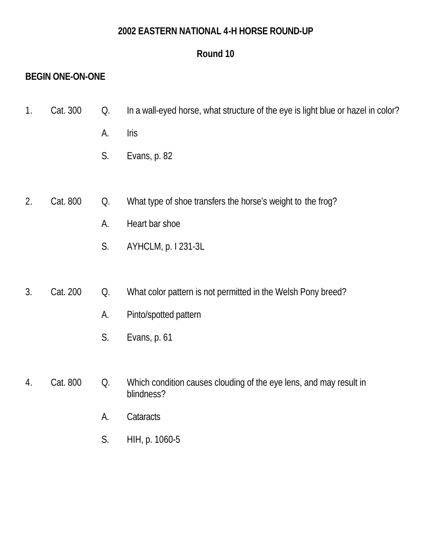# **2002 EASTERN NATIONAL 4-H HORSE ROUND-UP**

# **Round 10**

# **BEGIN ONE-ON-ONE**

- 1. Cat. 300 Q. In a wall-eyed horse, what structure of the eye is light blue or hazel in color?
	- A. Iris
	- S. Evans, p. 82
- 2. Cat. 800 Q. What type of shoe transfers the horse's weight to the frog?
	- A. Heart bar shoe
	- S. AYHCLM, p. I 231-3L
- 3. Cat. 200 Q. What color pattern is not permitted in the Welsh Pony breed?
	- A. Pinto/spotted pattern
	- S. Evans, p. 61
- 4. Cat. 800 Q. Which condition causes clouding of the eye lens, and may result in blindness?
	- A. Cataracts
	- S. HIH, p. 1060-5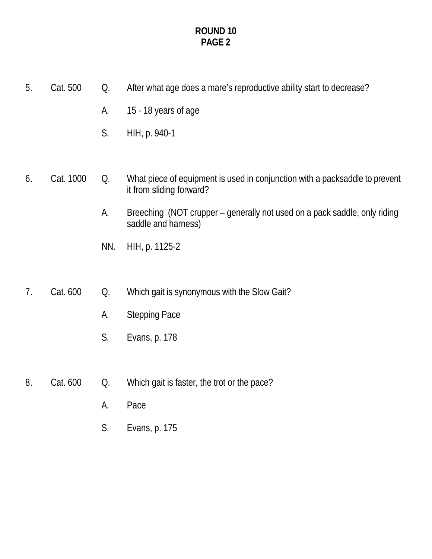- 5. Cat. 500 Q. After what age does a mare's reproductive ability start to decrease?
	- A. 15 18 years of age
	- S. HIH, p. 940-1

## 6. Cat. 1000 Q. What piece of equipment is used in conjunction with a packsaddle to prevent it from sliding forward?

- A. Breeching (NOT crupper generally not used on a pack saddle, only riding saddle and harness)
- NN. HIH, p. 1125-2
- 7. Cat. 600 Q. Which gait is synonymous with the Slow Gait?
	- A. Stepping Pace
	- S. Evans, p. 178
- 8. Cat. 600 Q. Which gait is faster, the trot or the pace?
	- A. Pace
	- S. Evans, p. 175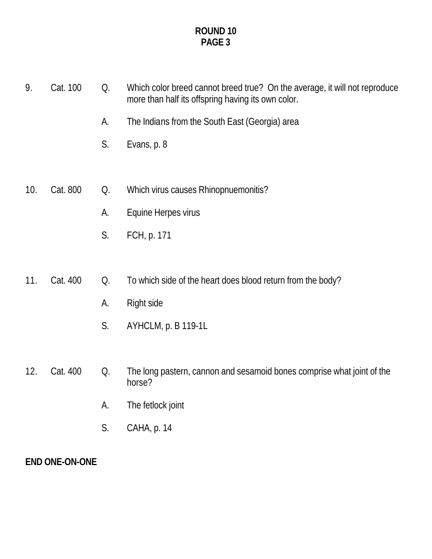9. Cat. 100 Q. Which color breed cannot breed true? On the average, it will not reproduce more than half its offspring having its own color. A. The Indians from the South East (Georgia) area S. Evans, p. 8 10. Cat. 800 Q. Which virus causes Rhinopnuemonitis? A. Equine Herpes virus S. FCH, p. 171 11. Cat. 400 Q. To which side of the heart does blood return from the body? A. Right side S. AYHCLM, p. B 119-1L 12. Cat. 400 Q. The long pastern, cannon and sesamoid bones comprise what joint of the horse? A. The fetlock joint S. CAHA, p. 14

# **END ONE-ON-ONE**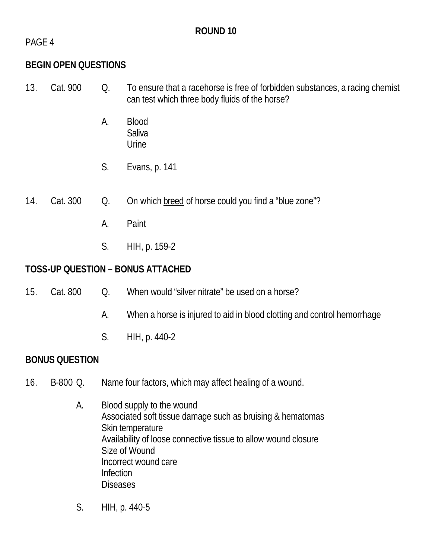# **ROUND 10**

PAGE 4

# **BEGIN OPEN QUESTIONS**

- 13. Cat. 900 Q. To ensure that a racehorse is free of forbidden substances, a racing chemist can test which three body fluids of the horse?
	- A. Blood **Saliva** Urine
	- S. Evans, p. 141
- 14. Cat. 300 Q. On which breed of horse could you find a "blue zone"?
	- A. Paint
	- S. HIH, p. 159-2

# **TOSS-UP QUESTION – BONUS ATTACHED**

- 15. Cat. 800 O. When would "silver nitrate" be used on a horse?
	- A. When a horse is injured to aid in blood clotting and control hemorrhage
	- S. HIH, p. 440-2

# **BONUS QUESTION**

- 16. B-800 Q. Name four factors, which may affect healing of a wound.
	- A. Blood supply to the wound Associated soft tissue damage such as bruising & hematomas Skin temperature Availability of loose connective tissue to allow wound closure Size of Wound Incorrect wound care Infection **Diseases**
	- S. HIH, p. 440-5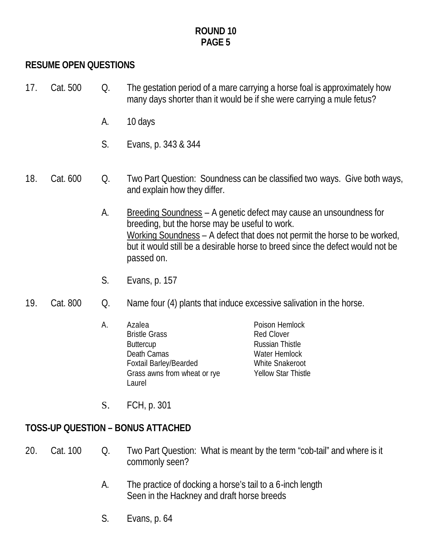# **RESUME OPEN QUESTIONS**

- 17. Cat. 500 Q. The gestation period of a mare carrying a horse foal is approximately how many days shorter than it would be if she were carrying a mule fetus?
	- A. 10 days
	- S. Evans, p. 343 & 344

#### 18. Cat. 600 Q. Two Part Question: Soundness can be classified two ways. Give both ways, and explain how they differ.

- A. Breeding Soundness A genetic defect may cause an unsoundness for breeding, but the horse may be useful to work. Working Soundness – A defect that does not permit the horse to be worked, but it would still be a desirable horse to breed since the defect would not be passed on.
- S. Evans, p. 157
- 19. Cat. 800 Q. Name four (4) plants that induce excessive salivation in the horse.
	- A. Azalea Poison Hemlock Bristle Grass Red Clover Buttercup **Russian Thistle** Death Camas Water Hemlock Foxtail Barley/Bearded White Snakeroot Grass awns from wheat or rye Yellow Star Thistle Laurel

S. FCH, p. 301

# **TOSS-UP QUESTION – BONUS ATTACHED**

- 20. Cat. 100 Q. Two Part Question: What is meant by the term "cob-tail" and where is it commonly seen?
	- A. The practice of docking a horse's tail to a 6-inch length Seen in the Hackney and draft horse breeds
	- S. Evans, p. 64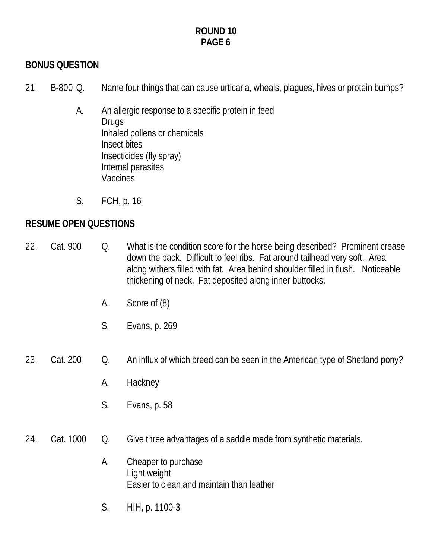# **BONUS QUESTION**

- 21. B-800 Q. Name four things that can cause urticaria, wheals, plagues, hives or protein bumps?
	- A. An allergic response to a specific protein in feed Drugs Inhaled pollens or chemicals Insect bites Insecticides (fly spray) Internal parasites **Vaccines**
	- S. FCH, p. 16

# **RESUME OPEN QUESTIONS**

- 22. Cat. 900 Q. What is the condition score for the horse being described? Prominent crease down the back. Difficult to feel ribs. Fat around tailhead very soft. Area along withers filled with fat. Area behind shoulder filled in flush. Noticeable thickening of neck. Fat deposited along inner buttocks.
	- A. Score of (8)
	- S. Evans, p. 269

# 23. Cat. 200 Q. An influx of which breed can be seen in the American type of Shetland pony?

- A. Hackney
- S. Evans, p. 58
- 24. Cat. 1000 Q. Give three advantages of a saddle made from synthetic materials.
	- A. Cheaper to purchase Light weight Easier to clean and maintain than leather
	- S. HIH, p. 1100-3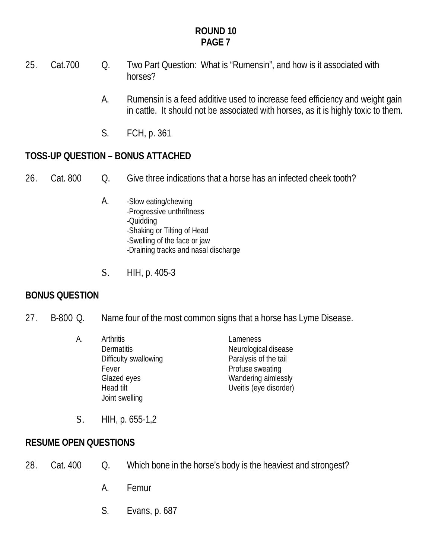- 25. Cat.700 Q. Two Part Question: What is "Rumensin", and how is it associated with horses?
	- A. Rumensin is a feed additive used to increase feed efficiency and weight gain in cattle. It should not be associated with horses, as it is highly toxic to them.
	- S. FCH, p. 361

# **TOSS-UP QUESTION – BONUS ATTACHED**

- 26. Cat. 800 Q. Give three indications that a horse has an infected cheek tooth?
	- A. -Slow eating/chewing -Progressive unthriftness -Quidding -Shaking or Tilting of Head -Swelling of the face or jaw -Draining tracks and nasal discharge
	- S. HIH, p. 405-3

# **BONUS QUESTION**

- 27. B-800 Q. Name four of the most common signs that a horse has Lyme Disease.
	- A. Arthritis Lameness Dermatitis Neurological disease Difficulty swallowing **Paralysis of the tail** Fever **Profuse** sweating Glazed eyes **Wandering aimlessly** Head tilt **Head tilt** Uveitis (eye disorder) Joint swelling
		-

S. HIH, p. 655-1,2

# **RESUME OPEN QUESTIONS**

- 28. Cat. 400 Q. Which bone in the horse's body is the heaviest and strongest?
	- A. Femur
	- S. Evans, p. 687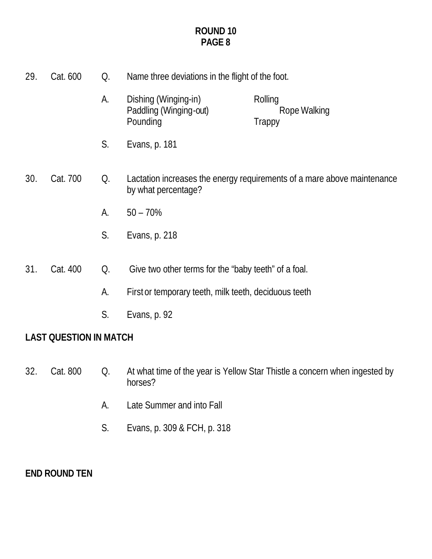| 29. | Cat. 600 | Q. | Name three deviations in the flight of the foot.                                               |                                          |
|-----|----------|----|------------------------------------------------------------------------------------------------|------------------------------------------|
|     |          | A. | Dishing (Winging-in)<br>Paddling (Winging-out)<br>Pounding                                     | Rolling<br>Rope Walking<br><b>Trappy</b> |
|     |          | S. | Evans, p. 181                                                                                  |                                          |
| 30. | Cat. 700 | Q. | Lactation increases the energy requirements of a mare above maintenance<br>by what percentage? |                                          |
|     |          | А. | $50 - 70\%$                                                                                    |                                          |
|     |          | S. | Evans, p. 218                                                                                  |                                          |
| 31. | Cat. 400 | Q. | Give two other terms for the "baby teeth" of a foal.                                           |                                          |
|     |          | A. | First or temporary teeth, milk teeth, deciduous teeth                                          |                                          |

S. Evans, p. 92

# **LAST QUESTION IN MATCH**

- 32. Cat. 800 Q. At what time of the year is Yellow Star Thistle a concern when ingested by horses?
	- A. Late Summer and into Fall
	- S. Evans, p. 309 & FCH, p. 318

# **END ROUND TEN**